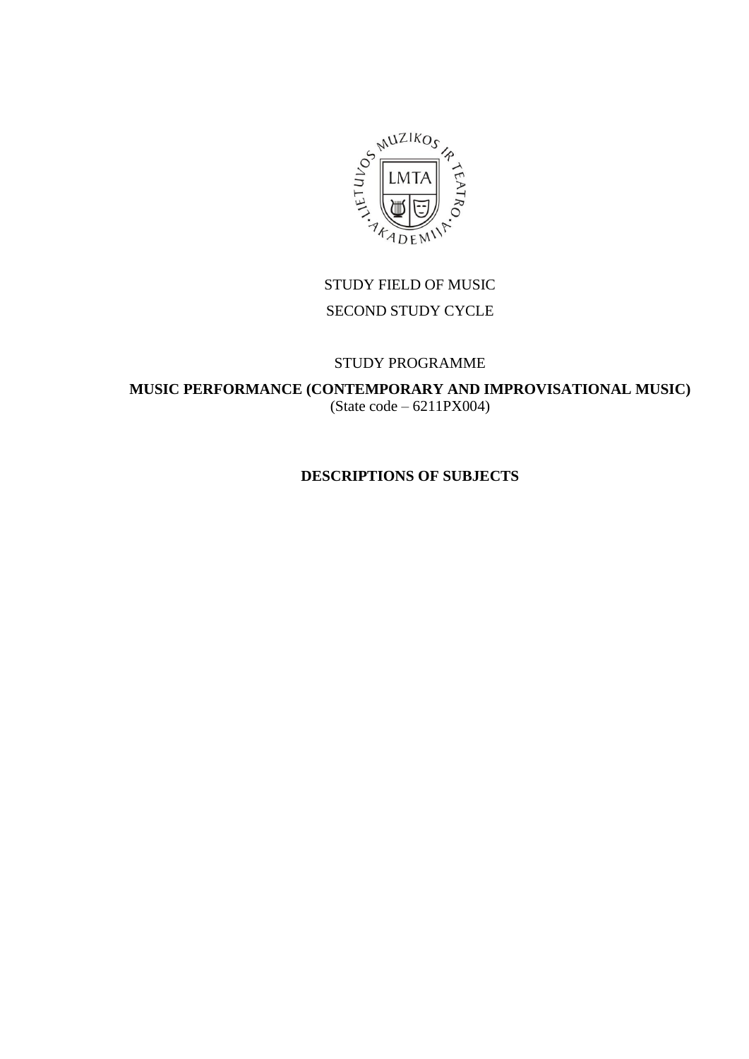

# STUDY FIELD OF MUSIC SECOND STUDY CYCLE

### STUDY PROGRAMME

**MUSIC PERFORMANCE (CONTEMPORARY AND IMPROVISATIONAL MUSIC)** (State code – 6211PX004)

# **DESCRIPTIONS OF SUBJECTS**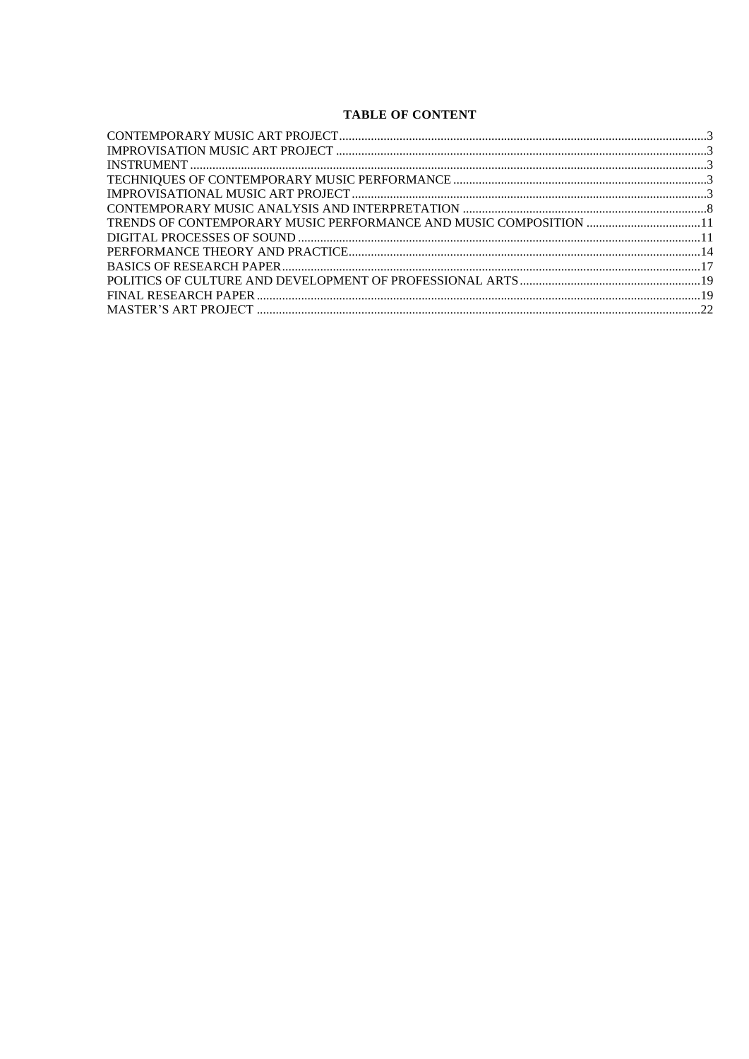### **TABLE OF CONTENT**

| TRENDS OF CONTEMPORARY MUSIC PERFORMANCE AND MUSIC COMPOSITION 11 |  |
|-------------------------------------------------------------------|--|
|                                                                   |  |
|                                                                   |  |
|                                                                   |  |
|                                                                   |  |
|                                                                   |  |
|                                                                   |  |
|                                                                   |  |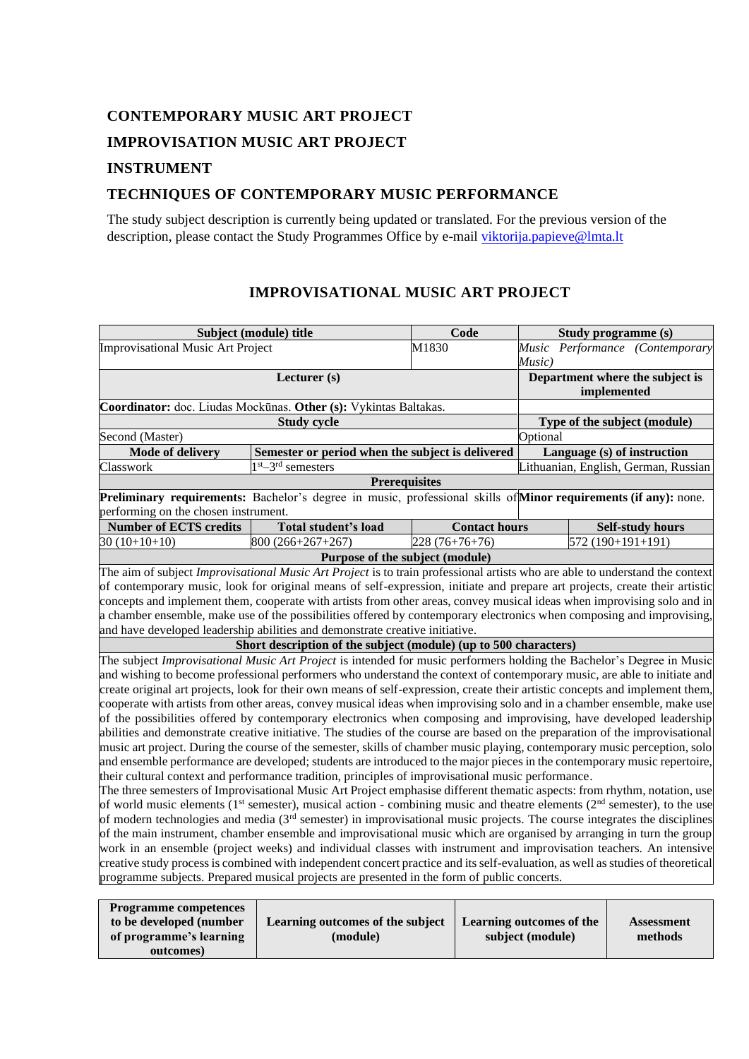# <span id="page-2-1"></span><span id="page-2-0"></span>**CONTEMPORARY MUSIC ART PROJECT IMPROVISATION MUSIC ART PROJECT**

## <span id="page-2-2"></span>**INSTRUMENT**

## <span id="page-2-3"></span>**TECHNIQUES OF CONTEMPORARY MUSIC PERFORMANCE**

The study subject description is currently being updated or translated. For the previous version of the description, please contact the Study Programmes Office by e-mail [viktorija.papieve@lmta.lt](mailto:viktorija.papieve@lmta.lt)

<span id="page-2-4"></span>

|                                                                  | Subject (module) title                                                                                                                                                                                                                        | Code                 | Study programme (s) |                             |                                      |  |  |  |
|------------------------------------------------------------------|-----------------------------------------------------------------------------------------------------------------------------------------------------------------------------------------------------------------------------------------------|----------------------|---------------------|-----------------------------|--------------------------------------|--|--|--|
| Improvisational Music Art Project                                |                                                                                                                                                                                                                                               | M1830                |                     |                             | Music Performance (Contemporary      |  |  |  |
|                                                                  |                                                                                                                                                                                                                                               |                      | Music)              |                             |                                      |  |  |  |
|                                                                  | Department where the subject is                                                                                                                                                                                                               |                      |                     |                             |                                      |  |  |  |
|                                                                  |                                                                                                                                                                                                                                               | implemented          |                     |                             |                                      |  |  |  |
| Coordinator: doc. Liudas Mockūnas. Other (s): Vykintas Baltakas. |                                                                                                                                                                                                                                               |                      |                     |                             |                                      |  |  |  |
|                                                                  | Type of the subject (module)                                                                                                                                                                                                                  |                      |                     |                             |                                      |  |  |  |
| Second (Master)                                                  | Optional                                                                                                                                                                                                                                      |                      |                     |                             |                                      |  |  |  |
| <b>Mode of delivery</b>                                          | Semester or period when the subject is delivered                                                                                                                                                                                              |                      |                     | Language (s) of instruction |                                      |  |  |  |
| Classwork                                                        | $1st - 3rd$ semesters                                                                                                                                                                                                                         |                      |                     |                             | Lithuanian, English, German, Russian |  |  |  |
|                                                                  | <b>Prerequisites</b>                                                                                                                                                                                                                          |                      |                     |                             |                                      |  |  |  |
|                                                                  | Preliminary requirements: Bachelor's degree in music, professional skills of Minor requirements (if any): none.                                                                                                                               |                      |                     |                             |                                      |  |  |  |
| performing on the chosen instrument.                             |                                                                                                                                                                                                                                               |                      |                     |                             |                                      |  |  |  |
| <b>Number of ECTS credits</b>                                    | Total student's load                                                                                                                                                                                                                          | <b>Contact hours</b> |                     |                             | <b>Self-study hours</b>              |  |  |  |
| $30(10+10+10)$                                                   | 800 (266+267+267)                                                                                                                                                                                                                             | $228(76+76+76)$      |                     | 572 (190+191+191)           |                                      |  |  |  |
|                                                                  | Purpose of the subject (module)                                                                                                                                                                                                               |                      |                     |                             |                                      |  |  |  |
|                                                                  | The aim of subject <i>Improvisational Music Art Project</i> is to train professional artists who are able to understand the context                                                                                                           |                      |                     |                             |                                      |  |  |  |
|                                                                  | of contemporary music, look for original means of self-expression, initiate and prepare art projects, create their artistic                                                                                                                   |                      |                     |                             |                                      |  |  |  |
|                                                                  | concepts and implement them, cooperate with artists from other areas, convey musical ideas when improvising solo and in                                                                                                                       |                      |                     |                             |                                      |  |  |  |
|                                                                  | a chamber ensemble, make use of the possibilities offered by contemporary electronics when composing and improvising,                                                                                                                         |                      |                     |                             |                                      |  |  |  |
|                                                                  | and have developed leadership abilities and demonstrate creative initiative.                                                                                                                                                                  |                      |                     |                             |                                      |  |  |  |
|                                                                  | Short description of the subject (module) (up to 500 characters)                                                                                                                                                                              |                      |                     |                             |                                      |  |  |  |
|                                                                  | The subject Improvisational Music Art Project is intended for music performers holding the Bachelor's Degree in Music                                                                                                                         |                      |                     |                             |                                      |  |  |  |
|                                                                  | and wishing to become professional performers who understand the context of contemporary music, are able to initiate and                                                                                                                      |                      |                     |                             |                                      |  |  |  |
|                                                                  | create original art projects, look for their own means of self-expression, create their artistic concepts and implement them,                                                                                                                 |                      |                     |                             |                                      |  |  |  |
|                                                                  | cooperate with artists from other areas, convey musical ideas when improvising solo and in a chamber ensemble, make use<br>of the possibilities offered by contemporary electronics when composing and improvising, have developed leadership |                      |                     |                             |                                      |  |  |  |
|                                                                  | abilities and demonstrate creative initiative. The studies of the course are based on the preparation of the improvisational                                                                                                                  |                      |                     |                             |                                      |  |  |  |
|                                                                  | music art project. During the course of the semester, skills of chamber music playing, contemporary music perception, solo                                                                                                                    |                      |                     |                             |                                      |  |  |  |
|                                                                  | and ensemble performance are developed; students are introduced to the major pieces in the contemporary music repertoire,                                                                                                                     |                      |                     |                             |                                      |  |  |  |
|                                                                  | their cultural context and performance tradition, principles of improvisational music performance.                                                                                                                                            |                      |                     |                             |                                      |  |  |  |
|                                                                  | The three semesters of Improvisational Music Art Project emphasise different thematic aspects: from rhythm, notation, use                                                                                                                     |                      |                     |                             |                                      |  |  |  |
|                                                                  | of world music elements ( $1st$ semester), musical action - combining music and theatre elements ( $2nd$ semester), to the use                                                                                                                |                      |                     |                             |                                      |  |  |  |
|                                                                  | of modern technologies and media (3 <sup>rd</sup> semester) in improvisational music projects. The course integrates the disciplines                                                                                                          |                      |                     |                             |                                      |  |  |  |
|                                                                  | of the main instrument, chamber ensemble and improvisational music which are organised by arranging in turn the group                                                                                                                         |                      |                     |                             |                                      |  |  |  |
|                                                                  | work in an ensemble (project weeks) and individual classes with instrument and improvisation teachers. An intensive                                                                                                                           |                      |                     |                             |                                      |  |  |  |
|                                                                  | creative study process is combined with independent concert practice and its self-evaluation, as well as studies of theoretical                                                                                                               |                      |                     |                             |                                      |  |  |  |
|                                                                  | programme subjects. Prepared musical projects are presented in the form of public concerts.                                                                                                                                                   |                      |                     |                             |                                      |  |  |  |
|                                                                  |                                                                                                                                                                                                                                               |                      |                     |                             |                                      |  |  |  |
| $\mathbf{D}$                                                     |                                                                                                                                                                                                                                               |                      |                     |                             |                                      |  |  |  |

### **IMPROVISATIONAL MUSIC ART PROJECT**

| <b>Programme competences</b> |                                  |                          |                   |
|------------------------------|----------------------------------|--------------------------|-------------------|
| to be developed (number      | Learning outcomes of the subject | Learning outcomes of the | <b>Assessment</b> |
| of programme's learning      | (module)                         | subject (module)         | methods           |
| outcomes)                    |                                  |                          |                   |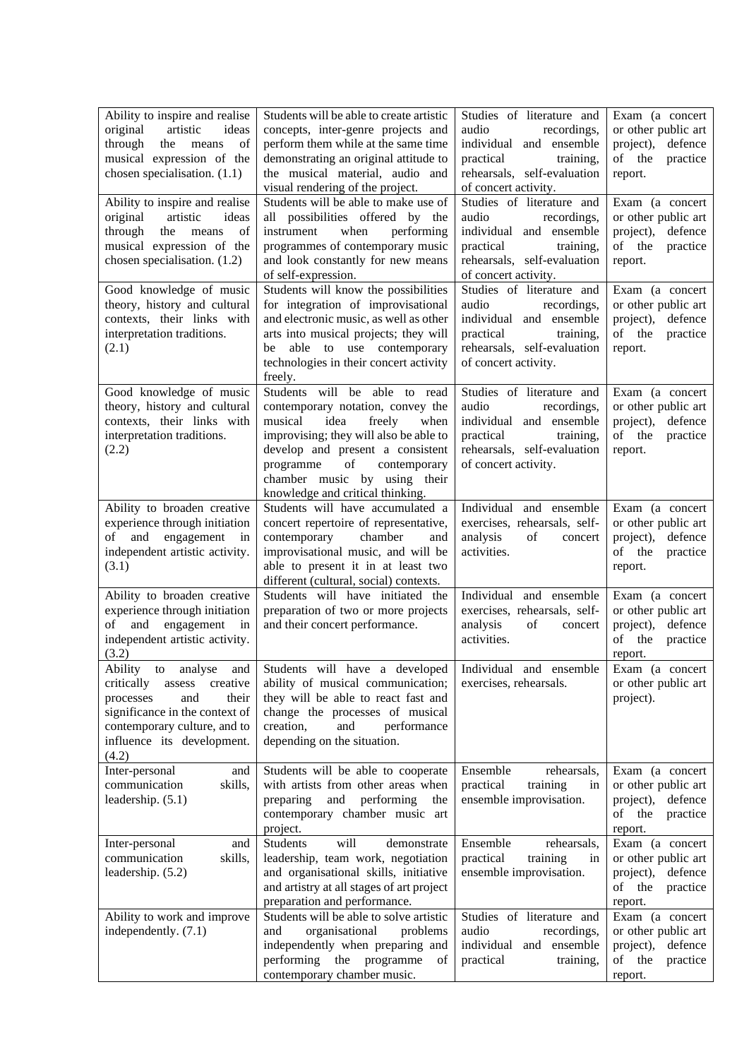| Ability to inspire and realise<br>original<br>artistic<br>ideas<br>through the<br>of<br>means<br>musical expression of the<br>chosen specialisation. (1.1)             | Students will be able to create artistic<br>concepts, inter-genre projects and<br>perform them while at the same time<br>demonstrating an original attitude to<br>the musical material, audio and<br>visual rendering of the project.                                                        | Studies of literature and<br>audio<br>recordings,<br>individual and ensemble<br>practical<br>training,<br>rehearsals, self-evaluation<br>of concert activity. | Exam (a concert<br>or other public art<br>project), defence<br>of the<br>practice<br>report.    |
|------------------------------------------------------------------------------------------------------------------------------------------------------------------------|----------------------------------------------------------------------------------------------------------------------------------------------------------------------------------------------------------------------------------------------------------------------------------------------|---------------------------------------------------------------------------------------------------------------------------------------------------------------|-------------------------------------------------------------------------------------------------|
| Ability to inspire and realise<br>artistic<br>original<br>ideas<br>through<br>of<br>the<br>means<br>musical expression of the<br>chosen specialisation. (1.2)          | Students will be able to make use of<br>all possibilities offered by the<br>when<br>performing<br>instrument<br>programmes of contemporary music<br>and look constantly for new means<br>of self-expression.                                                                                 | Studies of literature and<br>audio<br>recordings,<br>individual and ensemble<br>practical<br>training,<br>rehearsals, self-evaluation<br>of concert activity. | Exam (a concert<br>or other public art<br>project), defence<br>of the practice<br>report.       |
| Good knowledge of music<br>theory, history and cultural<br>contexts, their links with<br>interpretation traditions.<br>(2.1)                                           | Students will know the possibilities<br>for integration of improvisational<br>and electronic music, as well as other<br>arts into musical projects; they will<br>able to use contemporary<br>be<br>technologies in their concert activity<br>freely.                                         | Studies of literature and<br>audio<br>recordings,<br>individual and ensemble<br>practical<br>training,<br>rehearsals, self-evaluation<br>of concert activity. | Exam (a concert<br>or other public art<br>project), defence<br>of the<br>practice<br>report.    |
| Good knowledge of music<br>theory, history and cultural<br>contexts, their links with<br>interpretation traditions.<br>(2.2)                                           | Students will be able to read<br>contemporary notation, convey the<br>idea<br>musical<br>freely<br>when<br>improvising; they will also be able to<br>develop and present a consistent<br>of<br>programme<br>contemporary<br>chamber music by using their<br>knowledge and critical thinking. | Studies of literature and<br>audio<br>recordings,<br>individual and ensemble<br>practical training,<br>rehearsals, self-evaluation<br>of concert activity.    | Exam (a concert<br>or other public art<br>project), defence<br>of the<br>practice<br>report.    |
| Ability to broaden creative<br>experience through initiation<br>of and engagement<br>in<br>independent artistic activity.<br>(3.1)                                     | Students will have accumulated a<br>concert repertoire of representative,<br>chamber<br>contemporary<br>and<br>improvisational music, and will be<br>able to present it in at least two<br>different (cultural, social) contexts.                                                            | Individual and ensemble<br>exercises, rehearsals, self-<br>analysis<br>of<br>concert<br>activities.                                                           | Exam (a concert<br>or other public art<br>project), defence<br>of the<br>practice<br>report.    |
| Ability to broaden creative<br>experience through initiation<br>and engagement<br>of<br>in<br>independent artistic activity.<br>(3.2)                                  | Students will have initiated the<br>preparation of two or more projects<br>and their concert performance.                                                                                                                                                                                    | Individual and ensemble<br>exercises, rehearsals, self-<br>analysis<br>of<br>concert<br>activities.                                                           | Exam (a concert<br>or other public art<br>project), defence<br>of the practice<br>report.       |
| critically<br>assess<br>creative<br>and<br>their<br>processes<br>significance in the context of<br>contemporary culture, and to<br>influence its development.<br>(4.2) | Ability to analyse and Students will have a developed Individual and ensemble<br>ability of musical communication;<br>they will be able to react fast and<br>change the processes of musical<br>creation,<br>and<br>performance<br>depending on the situation.                               | exercises, rehearsals.                                                                                                                                        | Exam (a concert<br>or other public art<br>project).                                             |
| Inter-personal<br>and<br>communication<br>skills,<br>leadership. (5.1)                                                                                                 | Students will be able to cooperate<br>with artists from other areas when<br>preparing<br>performing<br>and<br>the<br>contemporary chamber music art<br>project.                                                                                                                              | Ensemble<br>rehearsals,<br>practical<br>training<br>in<br>ensemble improvisation.                                                                             | Exam (a concert<br>or other public art<br>project), defence<br>of<br>the<br>practice<br>report. |
| Inter-personal<br>and<br>communication<br>skills,<br>leadership. (5.2)                                                                                                 | will<br>Students<br>demonstrate<br>leadership, team work, negotiation<br>and organisational skills, initiative<br>and artistry at all stages of art project<br>preparation and performance.                                                                                                  | Ensemble<br>rehearsals,<br>practical<br>training<br>in<br>ensemble improvisation.                                                                             | Exam (a concert<br>or other public art<br>project), defence<br>of the<br>practice<br>report.    |
| Ability to work and improve<br>independently. (7.1)                                                                                                                    | Students will be able to solve artistic<br>and<br>organisational<br>problems<br>independently when preparing and<br>performing<br>the programme<br>of<br>contemporary chamber music.                                                                                                         | Studies of literature and<br>audio<br>recordings,<br>individual and ensemble<br>practical<br>training,                                                        | Exam (a concert<br>or other public art<br>project),<br>defence<br>of the<br>practice<br>report. |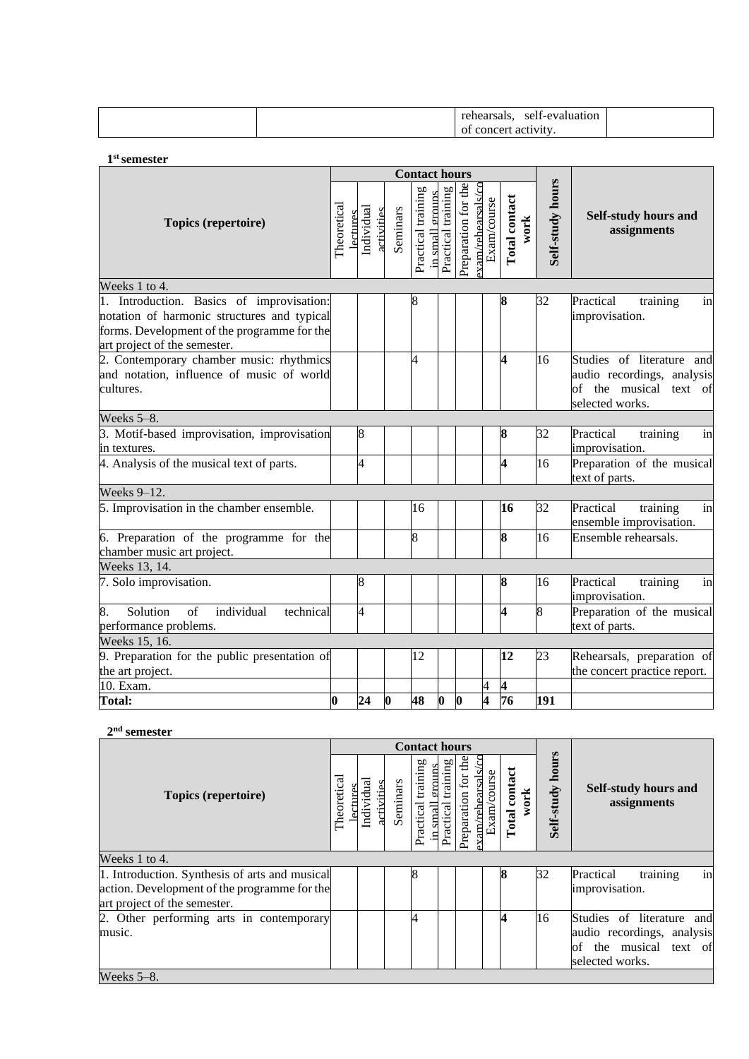|  | . .<br>Calsais.    | $\sim$ $\sim$<br>$\Delta \mathbf{V}$<br>luation<br>Selt-<br>. я г<br>$\sim$ $\sim$ $\sim$ $\sim$ $\sim$ $\sim$ |  |
|--|--------------------|----------------------------------------------------------------------------------------------------------------|--|
|  | conc<br>ז בי<br>01 | activity                                                                                                       |  |

**1 st semester**

|                                                                                                                                                                         |                  |                        |            |             | <b>Contact hours</b> |                 |                    |                     |                                   |    |                       |                  |                                                                                                      |  |
|-------------------------------------------------------------------------------------------------------------------------------------------------------------------------|------------------|------------------------|------------|-------------|----------------------|-----------------|--------------------|---------------------|-----------------------------------|----|-----------------------|------------------|------------------------------------------------------------------------------------------------------|--|
| Topics (repertoire)                                                                                                                                                     | Theoretical      | Individual<br>lectures | activities | Seminars    | Practical training   | in small groups | Practical training | Preparation for the | -xam/rehearsals/cc<br>Exam/course |    | Total contact<br>work | Self-study hours | Self-study hours and<br>assignments                                                                  |  |
| Weeks 1 to 4.                                                                                                                                                           |                  |                        |            |             |                      |                 |                    |                     |                                   |    |                       |                  |                                                                                                      |  |
| 1. Introduction. Basics of improvisation:<br>notation of harmonic structures and typical<br>forms. Development of the programme for the<br>art project of the semester. |                  |                        |            |             | 8                    |                 |                    |                     |                                   | 8  |                       | 32               | Practical<br>training<br>in<br>improvisation.                                                        |  |
| 2. Contemporary chamber music: rhythmics<br>and notation, influence of music of world<br>cultures.                                                                      |                  |                        |            |             | 4                    |                 |                    |                     |                                   | 4  |                       | 16               | Studies of literature and<br>audio recordings, analysis<br>of the musical text of<br>selected works. |  |
| Weeks 5-8.                                                                                                                                                              |                  |                        |            |             |                      |                 |                    |                     |                                   |    |                       |                  |                                                                                                      |  |
| 3. Motif-based improvisation, improvisation<br>in textures.                                                                                                             |                  | 8                      |            |             |                      |                 |                    |                     |                                   | 8  |                       | 32               | Practical<br>training<br>in<br>improvisation.                                                        |  |
| 4. Analysis of the musical text of parts.                                                                                                                               |                  | 4                      |            |             |                      |                 |                    |                     |                                   | 4  |                       | 16               | Preparation of the musical<br>text of parts.                                                         |  |
| Weeks 9-12.                                                                                                                                                             |                  |                        |            |             |                      |                 |                    |                     |                                   |    |                       |                  |                                                                                                      |  |
| 5. Improvisation in the chamber ensemble.                                                                                                                               |                  |                        |            |             | 16                   |                 |                    |                     |                                   | 16 |                       | 32               | Practical<br>training<br>in<br>ensemble improvisation.                                               |  |
| 6. Preparation of the programme for the<br>chamber music art project.                                                                                                   |                  |                        |            |             | 8                    |                 |                    |                     |                                   | 8  |                       | 16               | Ensemble rehearsals.                                                                                 |  |
| Weeks 13, 14.                                                                                                                                                           |                  |                        |            |             |                      |                 |                    |                     |                                   |    |                       |                  |                                                                                                      |  |
| 7. Solo improvisation.                                                                                                                                                  |                  | 8                      |            |             |                      |                 |                    |                     |                                   | 8  |                       | 16               | Practical<br>training<br>in<br>improvisation.                                                        |  |
| 8.<br>Solution<br>of<br>individual<br>technical<br>performance problems.                                                                                                |                  | $\overline{4}$         |            |             |                      |                 |                    |                     |                                   | 4  |                       | 8                | Preparation of the musical<br>text of parts.                                                         |  |
| Weeks 15, 16.                                                                                                                                                           |                  |                        |            |             |                      |                 |                    |                     |                                   |    |                       |                  |                                                                                                      |  |
| 9. Preparation for the public presentation of<br>the art project.                                                                                                       |                  |                        |            |             | 12                   |                 |                    |                     |                                   | 12 |                       | 23               | Rehearsals, preparation of<br>the concert practice report.                                           |  |
| 10. Exam.                                                                                                                                                               |                  |                        |            |             |                      |                 |                    |                     | 4                                 | 4  |                       |                  |                                                                                                      |  |
| <b>Total:</b>                                                                                                                                                           | $\boldsymbol{0}$ | 24                     |            | $ 0\rangle$ | 48                   |                 | $\boldsymbol{0}$   | $\boldsymbol{0}$    | $\overline{\mathbf{4}}$           | 76 |                       | 191              |                                                                                                      |  |

#### **2 nd semester**

|                                                    |  |                               |            |          | <b>Contact hours</b>       |                                |                     |                                             |                       |                     |                                                                                                         |
|----------------------------------------------------|--|-------------------------------|------------|----------|----------------------------|--------------------------------|---------------------|---------------------------------------------|-----------------------|---------------------|---------------------------------------------------------------------------------------------------------|
| Topics (repertoire)                                |  | <b>Lectures</b><br>Individual | activities | Seminars | ьρ<br>trainin<br>Practical | training<br>Practical<br>small | Preparation for the | $\epsilon$<br>am/rehearsals.<br>Exam/course | Total contact<br>work | hours<br>Self-study | <b>Self-study hours and</b><br>assignments                                                              |
| Weeks 1 to 4.                                      |  |                               |            |          |                            |                                |                     |                                             |                       |                     |                                                                                                         |
| 1. Introduction. Synthesis of arts and musical     |  |                               |            |          | 8                          |                                |                     |                                             |                       | 32                  | training<br>in<br>Practical                                                                             |
| action. Development of the programme for the       |  |                               |            |          |                            |                                |                     |                                             |                       |                     | improvisation.                                                                                          |
| art project of the semester.                       |  |                               |            |          |                            |                                |                     |                                             |                       |                     |                                                                                                         |
| 2. Other performing arts in contemporary<br>music. |  |                               |            |          | 4                          |                                |                     |                                             | 4                     | 16                  | Studies of literature and<br>audio recordings, analysis<br>the musical text of<br>of<br>selected works. |
| Weeks $5-8$ .                                      |  |                               |            |          |                            |                                |                     |                                             |                       |                     |                                                                                                         |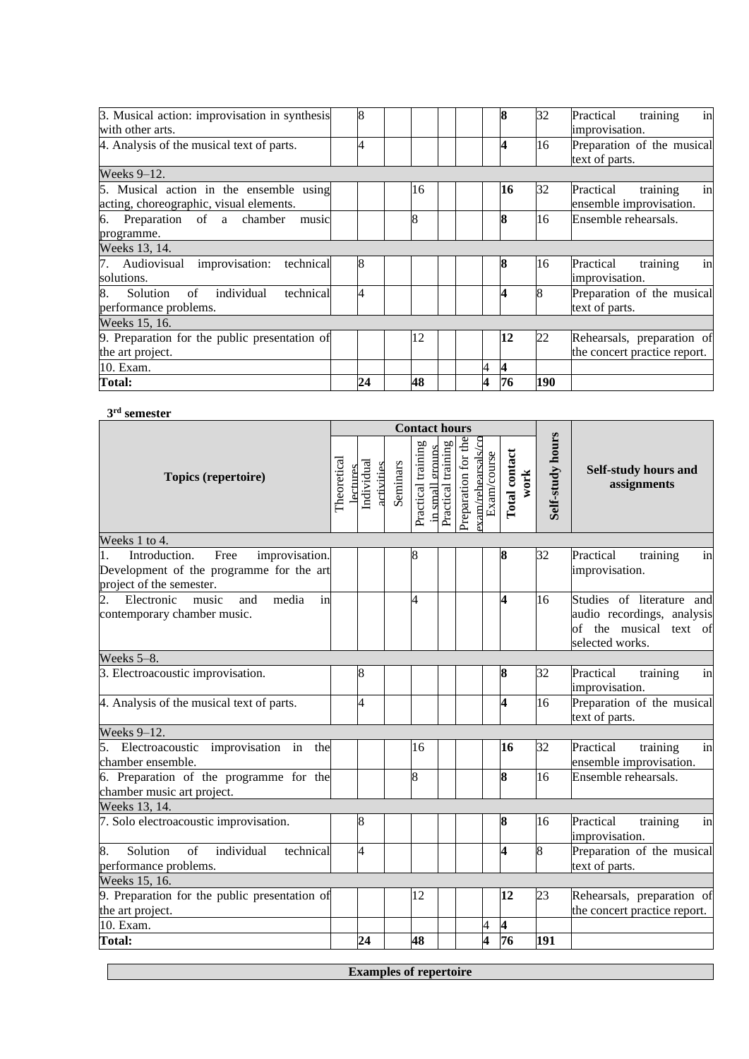| 3. Musical action: improvisation in synthesis   | 8  |                |   | 8                | 32  | in<br>training<br>Practical  |
|-------------------------------------------------|----|----------------|---|------------------|-----|------------------------------|
| with other arts.                                |    |                |   |                  |     | improvisation.               |
| 4. Analysis of the musical text of parts.       |    |                |   | 4                | 16  | Preparation of the musical   |
|                                                 |    |                |   |                  |     | text of parts.               |
| Weeks $9-12$ .                                  |    |                |   |                  |     |                              |
| 5. Musical action in the ensemble using         |    | 16             |   | 16               | 32  | Practical<br>training<br>in  |
| acting, choreographic, visual elements.         |    |                |   |                  |     | ensemble improvisation.      |
| Preparation of a chamber<br>music<br>6.         |    | $\overline{8}$ |   | 8                | 16  | Ensemble rehearsals.         |
| programme.                                      |    |                |   |                  |     |                              |
| Weeks 13, 14.                                   |    |                |   |                  |     |                              |
| technical<br>7. Audiovisual improvisation:      | 8  |                |   | 8                | 16  | in<br>training<br>Practical  |
| solutions.                                      |    |                |   |                  |     | improvisation.               |
| individual<br>technical<br>8.<br>of<br>Solution | 4  |                |   | 4                | 8   | Preparation of the musical   |
| performance problems.                           |    |                |   |                  |     | text of parts.               |
| Weeks 15, 16.                                   |    |                |   |                  |     |                              |
| 9. Preparation for the public presentation of   |    | 12             |   | 12               | 22  | Rehearsals, preparation of   |
| the art project.                                |    |                |   |                  |     | the concert practice report. |
| 10. Exam.                                       |    |                | 4 | $\boldsymbol{4}$ |     |                              |
| Total:                                          | 24 | 48             | 4 | 76               | 190 |                              |

#### **3 rd semester**

|                                                                                                                       | <b>Contact hours</b> |                        |            |          |                    |                                       |  |                     |                                  |                       |                  |                                                                                                      |  |
|-----------------------------------------------------------------------------------------------------------------------|----------------------|------------------------|------------|----------|--------------------|---------------------------------------|--|---------------------|----------------------------------|-----------------------|------------------|------------------------------------------------------------------------------------------------------|--|
| <b>Topics (repertoire)</b>                                                                                            | Theoretical          | Individual<br>lectures | activities | Seminars | Practical training | Practical training<br>in small groups |  | Preparation for the | xam/rehearsals/cc<br>Exam/course | Total contact<br>work | Self-study hours | Self-study hours and<br>assignments                                                                  |  |
| Weeks 1 to 4.                                                                                                         |                      |                        |            |          |                    |                                       |  |                     |                                  |                       |                  |                                                                                                      |  |
| Introduction.<br>Free<br>improvisation.<br>1.<br>Development of the programme for the art<br>project of the semester. |                      |                        |            |          | 8                  |                                       |  |                     |                                  | 8                     | 32               | Practical<br>training<br>in<br>improvisation.                                                        |  |
| $\overline{2}$ .<br>Electronic<br>music<br>media<br>in<br>and<br>contemporary chamber music.                          |                      |                        |            |          | 4                  |                                       |  |                     |                                  | 4                     | 16               | Studies of literature and<br>audio recordings, analysis<br>of the musical text of<br>selected works. |  |
| Weeks 5-8.                                                                                                            |                      |                        |            |          |                    |                                       |  |                     |                                  |                       |                  |                                                                                                      |  |
| 3. Electroacoustic improvisation.                                                                                     |                      | 8                      |            |          |                    |                                       |  |                     |                                  | 8                     | 32               | Practical<br>training<br>in<br>improvisation.                                                        |  |
| 4. Analysis of the musical text of parts.                                                                             |                      | 4                      |            |          |                    |                                       |  |                     |                                  | 4                     | 16               | Preparation of the musical<br>text of parts.                                                         |  |
| Weeks 9-12.                                                                                                           |                      |                        |            |          |                    |                                       |  |                     |                                  |                       |                  |                                                                                                      |  |
| 5.<br>Electroacoustic improvisation in<br>the<br>chamber ensemble.                                                    |                      |                        |            |          | 16                 |                                       |  |                     |                                  | 16                    | 32               | Practical<br>training<br>in<br>ensemble improvisation.                                               |  |
| 6. Preparation of the programme for the<br>chamber music art project.                                                 |                      |                        |            |          | 8                  |                                       |  |                     |                                  | 8                     | 16               | Ensemble rehearsals.                                                                                 |  |
| Weeks 13, 14.                                                                                                         |                      |                        |            |          |                    |                                       |  |                     |                                  |                       |                  |                                                                                                      |  |
| 7. Solo electroacoustic improvisation.                                                                                |                      | 8                      |            |          |                    |                                       |  |                     |                                  | 8                     | 16               | Practical<br>training<br>in<br>improvisation.                                                        |  |
| 8.<br>Solution<br>of<br>individual<br>technical<br>performance problems.                                              |                      | 4                      |            |          |                    |                                       |  |                     |                                  | 4                     | 8                | Preparation of the musical<br>text of parts.                                                         |  |
| Weeks 15, 16.                                                                                                         |                      |                        |            |          |                    |                                       |  |                     |                                  |                       |                  |                                                                                                      |  |
| 9. Preparation for the public presentation of<br>the art project.                                                     |                      |                        |            |          | 12                 |                                       |  |                     |                                  | 12                    | 23               | Rehearsals, preparation of<br>the concert practice report.                                           |  |
| 10. Exam.                                                                                                             |                      |                        |            |          |                    |                                       |  |                     | 4                                | 4                     |                  |                                                                                                      |  |
| <b>Total:</b>                                                                                                         |                      | 24                     |            |          | 48                 |                                       |  |                     | 4                                | 76                    | 191              |                                                                                                      |  |

**Examples of repertoire**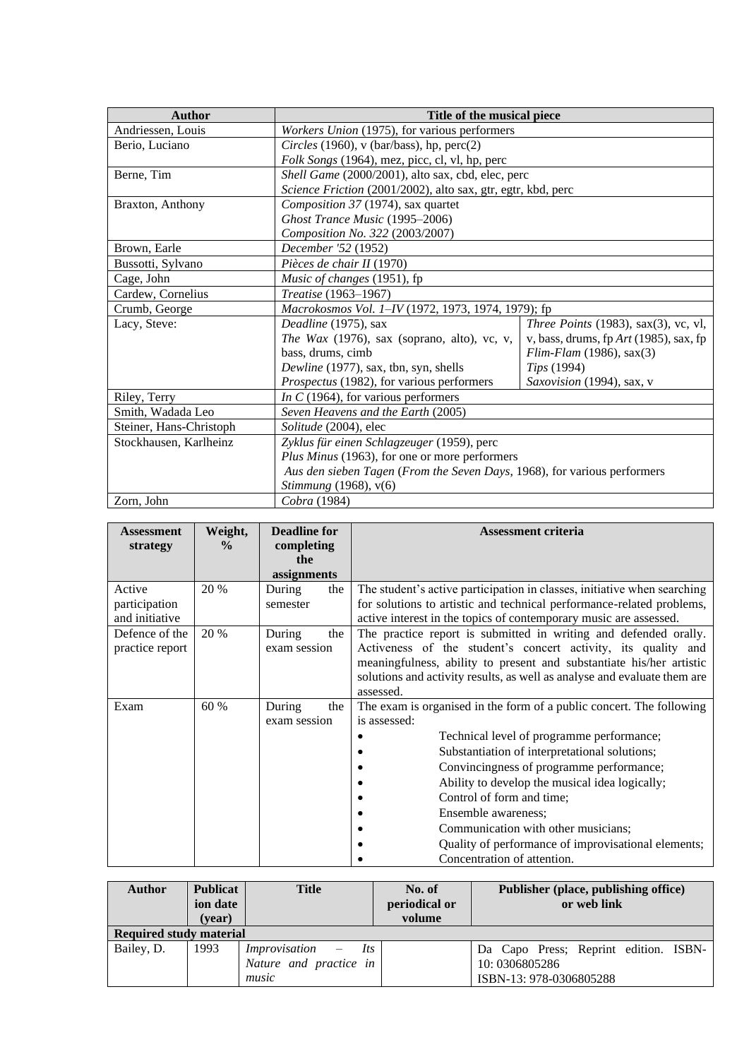| <b>Author</b>           | Title of the musical piece                                               |                                             |  |  |  |  |  |
|-------------------------|--------------------------------------------------------------------------|---------------------------------------------|--|--|--|--|--|
| Andriessen, Louis       | Workers Union (1975), for various performers                             |                                             |  |  |  |  |  |
| Berio, Luciano          | Circles (1960), v (bar/bass), hp, perc(2)                                |                                             |  |  |  |  |  |
|                         | Folk Songs (1964), mez, picc, cl, vl, hp, perc                           |                                             |  |  |  |  |  |
| Berne, Tim              | Shell Game (2000/2001), alto sax, cbd, elec, perc                        |                                             |  |  |  |  |  |
|                         | Science Friction (2001/2002), alto sax, gtr, egtr, kbd, perc             |                                             |  |  |  |  |  |
| Braxton, Anthony        | Composition 37 (1974), sax quartet                                       |                                             |  |  |  |  |  |
|                         | Ghost Trance Music (1995-2006)                                           |                                             |  |  |  |  |  |
|                         | Composition No. 322 (2003/2007)                                          |                                             |  |  |  |  |  |
| Brown, Earle            | December '52 (1952)                                                      |                                             |  |  |  |  |  |
| Bussotti, Sylvano       | Pièces de chair II (1970)                                                |                                             |  |  |  |  |  |
| Cage, John              | Music of changes (1951), fp                                              |                                             |  |  |  |  |  |
| Cardew, Cornelius       | Treatise (1963-1967)                                                     |                                             |  |  |  |  |  |
| Crumb, George           | Macrokosmos Vol. 1-IV (1972, 1973, 1974, 1979); fp                       |                                             |  |  |  |  |  |
| Lacy, Steve:            | Deadline (1975), sax                                                     | <i>Three Points</i> (1983), sax(3), vc, vl, |  |  |  |  |  |
|                         | The Wax $(1976)$ , sax (soprano, alto), vc, v,                           | v, bass, drums, fp $Art(1985)$ , sax, fp    |  |  |  |  |  |
|                         | bass, drums, cimb                                                        | $Elim$ -Flam (1986), sax $(3)$              |  |  |  |  |  |
|                         | Dewline (1977), sax, tbn, syn, shells                                    | Tips (1994)                                 |  |  |  |  |  |
|                         | Prospectus (1982), for various performers                                | Saxovision (1994), sax, v                   |  |  |  |  |  |
| Riley, Terry            | In C (1964), for various performers                                      |                                             |  |  |  |  |  |
| Smith, Wadada Leo       | Seven Heavens and the Earth (2005)                                       |                                             |  |  |  |  |  |
| Steiner, Hans-Christoph | Solitude (2004), elec                                                    |                                             |  |  |  |  |  |
| Stockhausen, Karlheinz  | Zyklus für einen Schlagzeuger (1959), perc                               |                                             |  |  |  |  |  |
|                         | Plus Minus (1963), for one or more performers                            |                                             |  |  |  |  |  |
|                         | Aus den sieben Tagen (From the Seven Days, 1968), for various performers |                                             |  |  |  |  |  |
|                         | Stimmung (1968), v(6)                                                    |                                             |  |  |  |  |  |
| Zorn, John              | Cobra (1984)                                                             |                                             |  |  |  |  |  |

| <b>Assessment</b><br>strategy     | Weight,<br>$\frac{0}{0}$ | <b>Deadline for</b><br>completing<br>the | <b>Assessment criteria</b>                                                                                                                                                                                                                                                                                                                                                                |  |  |  |  |  |  |
|-----------------------------------|--------------------------|------------------------------------------|-------------------------------------------------------------------------------------------------------------------------------------------------------------------------------------------------------------------------------------------------------------------------------------------------------------------------------------------------------------------------------------------|--|--|--|--|--|--|
| Active                            | 20 %                     | assignments<br>During<br>the             | The student's active participation in classes, initiative when searching                                                                                                                                                                                                                                                                                                                  |  |  |  |  |  |  |
| participation<br>and initiative   |                          | semester                                 | for solutions to artistic and technical performance-related problems,<br>active interest in the topics of contemporary music are assessed.                                                                                                                                                                                                                                                |  |  |  |  |  |  |
| Defence of the<br>practice report | 20 %                     | During<br>the<br>exam session            | The practice report is submitted in writing and defended orally.<br>Activeness of the student's concert activity, its quality and<br>meaningfulness, ability to present and substantiate his/her artistic<br>solutions and activity results, as well as analyse and evaluate them are<br>assessed.                                                                                        |  |  |  |  |  |  |
| Exam                              | 60 %                     | During<br>the                            | The exam is organised in the form of a public concert. The following                                                                                                                                                                                                                                                                                                                      |  |  |  |  |  |  |
|                                   |                          | exam session                             | is assessed:<br>Technical level of programme performance;<br>Substantiation of interpretational solutions;<br>Convincingness of programme performance;<br>Ability to develop the musical idea logically;<br>Control of form and time;<br>Ensemble awareness;<br>Communication with other musicians;<br>Quality of performance of improvisational elements;<br>Concentration of attention. |  |  |  |  |  |  |

| <b>Author</b>                  | <b>Publicat</b><br>ion date | <b>Title</b>                                                       | No. of<br>periodical or<br>volume | Publisher (place, publishing office)<br>or web link                                |
|--------------------------------|-----------------------------|--------------------------------------------------------------------|-----------------------------------|------------------------------------------------------------------------------------|
| <b>Required study material</b> | (vear)                      |                                                                    |                                   |                                                                                    |
| Bailey, D.                     | 1993                        | Its<br><i>Improvisation</i> $-$<br>Nature and practice in<br>music |                                   | Da Capo Press; Reprint edition. ISBN-<br>10: 0306805286<br>ISBN-13: 978-0306805288 |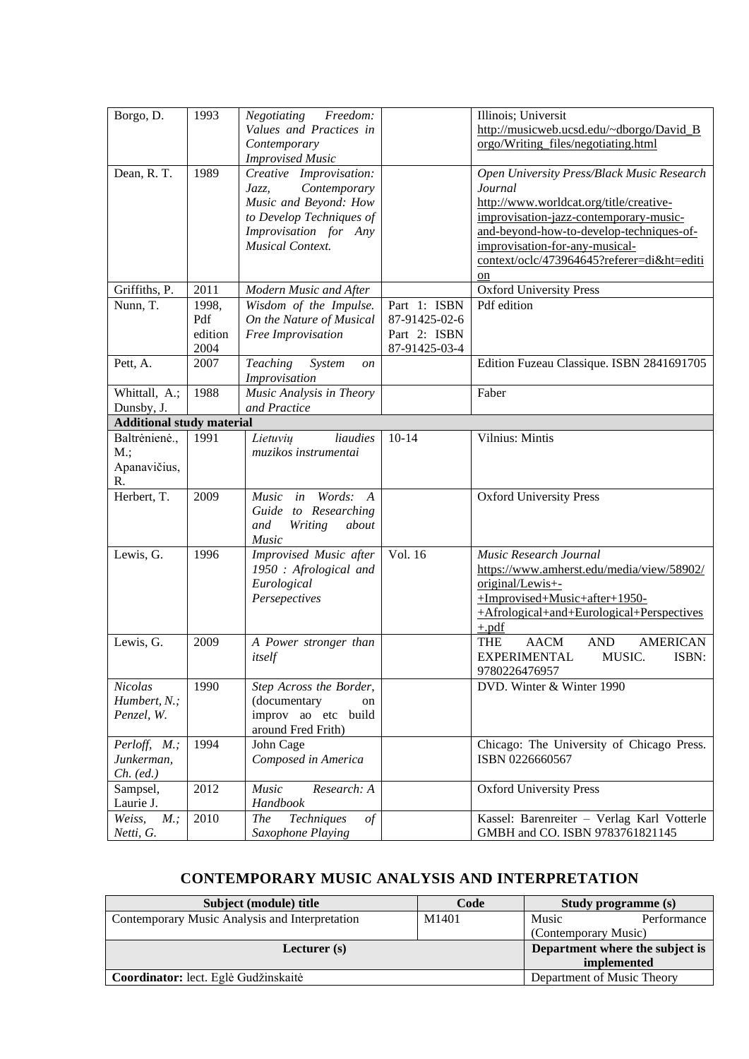| Borgo, D.                        | 1993    | Freedom:<br>Negotiating                          |               | Illinois; Universit                                        |
|----------------------------------|---------|--------------------------------------------------|---------------|------------------------------------------------------------|
|                                  |         | Values and Practices in                          |               | http://musicweb.ucsd.edu/~dborgo/David_B                   |
|                                  |         | Contemporary                                     |               | orgo/Writing_files/negotiating.html                        |
|                                  |         | <b>Improvised Music</b>                          |               |                                                            |
| Dean, R. T.                      | 1989    | Creative Improvisation:                          |               | Open University Press/Black Music Research                 |
|                                  |         | Contemporary<br>Jazz,                            |               | Journal                                                    |
|                                  |         | Music and Beyond: How                            |               | http://www.worldcat.org/title/creative-                    |
|                                  |         | to Develop Techniques of                         |               | improvisation-jazz-contemporary-music-                     |
|                                  |         | Improvisation for Any                            |               | and-beyond-how-to-develop-techniques-of-                   |
|                                  |         | <b>Musical Context.</b>                          |               | improvisation-for-any-musical-                             |
|                                  |         |                                                  |               | context/oclc/473964645?referer=di&ht=editi                 |
|                                  |         |                                                  |               | on                                                         |
| Griffiths, P.                    | 2011    | Modern Music and After                           |               | <b>Oxford University Press</b>                             |
| Nunn, T.                         | 1998,   | Wisdom of the Impulse.                           | Part 1: ISBN  | Pdf edition                                                |
|                                  | Pdf     | On the Nature of Musical                         | 87-91425-02-6 |                                                            |
|                                  | edition | Free Improvisation                               | Part 2: ISBN  |                                                            |
|                                  | 2004    |                                                  | 87-91425-03-4 |                                                            |
| Pett, A.                         | 2007    | <b>Teaching</b><br>System<br><sub>on</sub>       |               | Edition Fuzeau Classique. ISBN 2841691705                  |
|                                  |         | Improvisation                                    |               |                                                            |
| Whittall, A.;                    | 1988    | Music Analysis in Theory                         |               | Faber                                                      |
| Dunsby, J.                       |         | and Practice                                     |               |                                                            |
| <b>Additional study material</b> |         |                                                  |               |                                                            |
| Baltrėnienė.,                    | 1991    | liaudies<br>Lietuvių                             | $10 - 14$     | Vilnius: Mintis                                            |
| M:                               |         | muzikos instrumentai                             |               |                                                            |
| Apanavičius,                     |         |                                                  |               |                                                            |
| R.                               |         |                                                  |               |                                                            |
| Herbert, T.                      | 2009    | Words:<br><b>Music</b><br>in<br>$\boldsymbol{A}$ |               | <b>Oxford University Press</b>                             |
|                                  |         | Guide to Researching                             |               |                                                            |
|                                  |         | and<br>Writing<br>about                          |               |                                                            |
|                                  |         | Music                                            |               |                                                            |
| Lewis, G.                        | 1996    | Improvised Music after                           | Vol. 16       | Music Research Journal                                     |
|                                  |         | 1950 : Afrological and                           |               | https://www.amherst.edu/media/view/58902/                  |
|                                  |         | Eurological                                      |               | original/Lewis+-                                           |
|                                  |         | Persepectives                                    |               | +Improvised+Music+after+1950-                              |
|                                  |         |                                                  |               | +Afrological+and+Eurological+Perspectives                  |
|                                  |         |                                                  |               | $+$ .pdf                                                   |
| Lewis, G.                        | 2009    | A Power stronger than                            |               | <b>THE</b><br><b>AACM</b><br><b>AND</b><br><b>AMERICAN</b> |
|                                  |         | itself                                           |               | <b>EXPERIMENTAL</b><br>MUSIC.<br>ISBN:                     |
|                                  |         |                                                  |               | 9780226476957                                              |
| Nicolas                          | 1990    | Step Across the Border,                          |               | DVD. Winter & Winter 1990                                  |
| Humbert, N.;                     |         | (documentary<br>on                               |               |                                                            |
| Penzel, W.                       |         | improv ao etc build                              |               |                                                            |
|                                  |         | around Fred Frith)                               |               |                                                            |
| Perloff, M.;                     | 1994    | John Cage                                        |               | Chicago: The University of Chicago Press.                  |
| Junkerman,                       |         | Composed in America                              |               | ISBN 0226660567                                            |
| $Ch.$ (ed.)                      |         |                                                  |               |                                                            |
| Sampsel,                         | 2012    | Music<br>Research: A                             |               | <b>Oxford University Press</b>                             |
| Laurie J.                        |         | Handbook                                         |               |                                                            |
| Weiss,<br>$M.$ ;                 | 2010    | Techniques<br><b>The</b><br>$\mathfrak{g}$       |               | Kassel: Barenreiter - Verlag Karl Votterle                 |
| Netti, G.                        |         | Saxophone Playing                                |               | GMBH and CO. ISBN 9783761821145                            |

# **CONTEMPORARY MUSIC ANALYSIS AND INTERPRETATION**

<span id="page-7-0"></span>

| Subject (module) title                         | Code        | Study programme (s)             |             |  |
|------------------------------------------------|-------------|---------------------------------|-------------|--|
| Contemporary Music Analysis and Interpretation | M1401       | Music                           | Performance |  |
|                                                |             | (Contemporary Music)            |             |  |
| Lecturer $(s)$                                 |             | Department where the subject is |             |  |
|                                                | implemented |                                 |             |  |
| Coordinator: lect. Eglė Gudžinskaitė           |             | Department of Music Theory      |             |  |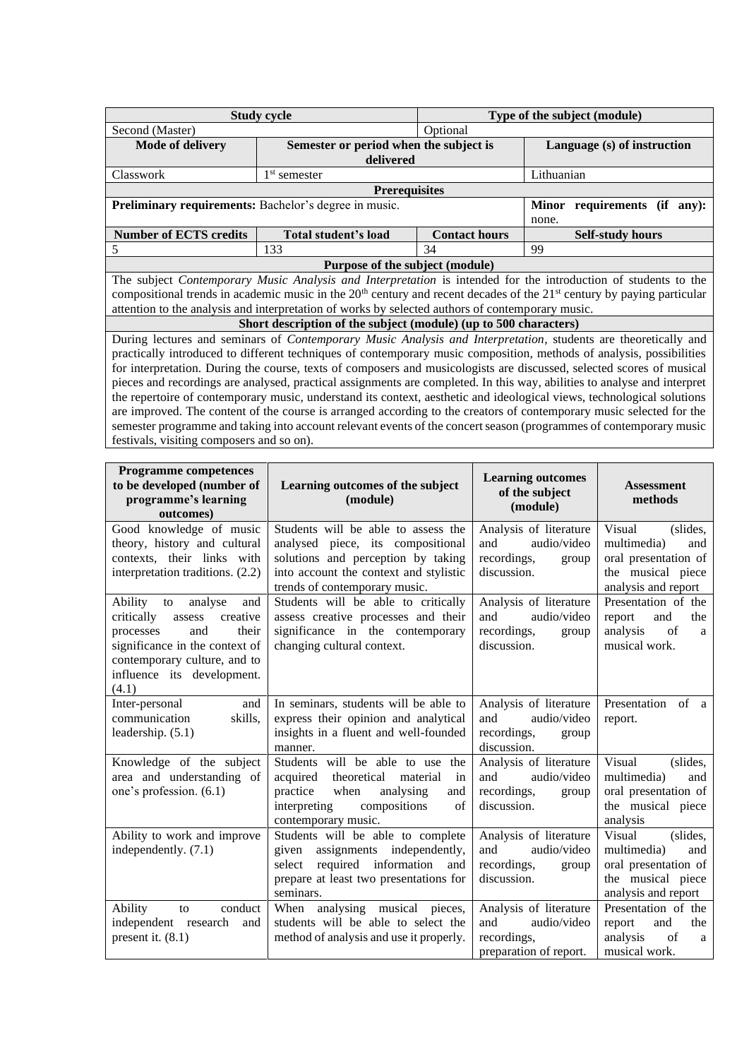|                                                                                                                       | <b>Study cycle</b>                                                                                                       | Type of the subject (module) |                                                                                                                                      |  |  |  |  |  |  |  |
|-----------------------------------------------------------------------------------------------------------------------|--------------------------------------------------------------------------------------------------------------------------|------------------------------|--------------------------------------------------------------------------------------------------------------------------------------|--|--|--|--|--|--|--|
| Second (Master)                                                                                                       |                                                                                                                          |                              |                                                                                                                                      |  |  |  |  |  |  |  |
| <b>Mode of delivery</b>                                                                                               | Semester or period when the subject is                                                                                   |                              | Language (s) of instruction                                                                                                          |  |  |  |  |  |  |  |
|                                                                                                                       | delivered                                                                                                                |                              |                                                                                                                                      |  |  |  |  |  |  |  |
| Classwork                                                                                                             | $1st$ semester                                                                                                           |                              | Lithuanian                                                                                                                           |  |  |  |  |  |  |  |
|                                                                                                                       | <b>Prerequisites</b>                                                                                                     |                              |                                                                                                                                      |  |  |  |  |  |  |  |
| Preliminary requirements: Bachelor's degree in music.                                                                 |                                                                                                                          |                              | Minor requirements (if<br>any):                                                                                                      |  |  |  |  |  |  |  |
|                                                                                                                       |                                                                                                                          | none.                        |                                                                                                                                      |  |  |  |  |  |  |  |
| <b>Number of ECTS credits</b>                                                                                         | Total student's load                                                                                                     | <b>Contact hours</b>         | <b>Self-study hours</b>                                                                                                              |  |  |  |  |  |  |  |
| 5                                                                                                                     | 133                                                                                                                      | 34                           | 99                                                                                                                                   |  |  |  |  |  |  |  |
|                                                                                                                       | Purpose of the subject (module)                                                                                          |                              |                                                                                                                                      |  |  |  |  |  |  |  |
|                                                                                                                       |                                                                                                                          |                              | The subject Contemporary Music Analysis and Interpretation is intended for the introduction of students to the                       |  |  |  |  |  |  |  |
|                                                                                                                       |                                                                                                                          |                              | compositional trends in academic music in the $20th$ century and recent decades of the 21 <sup>st</sup> century by paying particular |  |  |  |  |  |  |  |
|                                                                                                                       | attention to the analysis and interpretation of works by selected authors of contemporary music.                         |                              |                                                                                                                                      |  |  |  |  |  |  |  |
|                                                                                                                       | Short description of the subject (module) (up to 500 characters)                                                         |                              |                                                                                                                                      |  |  |  |  |  |  |  |
|                                                                                                                       |                                                                                                                          |                              | During lectures and seminars of <i>Contemporary Music Analysis and Interpretation</i> , students are theoretically and               |  |  |  |  |  |  |  |
|                                                                                                                       |                                                                                                                          |                              | practically introduced to different techniques of contemporary music composition, methods of analysis, possibilities                 |  |  |  |  |  |  |  |
| for interpretation. During the course, texts of composers and musicologists are discussed, selected scores of musical |                                                                                                                          |                              |                                                                                                                                      |  |  |  |  |  |  |  |
|                                                                                                                       | pieces and recordings are analysed, practical assignments are completed. In this way, abilities to analyse and interpret |                              |                                                                                                                                      |  |  |  |  |  |  |  |
|                                                                                                                       |                                                                                                                          |                              | the repertoire of contemporary music, understand its context, aesthetic and ideological views, technological solutions               |  |  |  |  |  |  |  |
|                                                                                                                       |                                                                                                                          |                              | are improved. The content of the course is arranged according to the creators of contemporary music selected for the                 |  |  |  |  |  |  |  |

semester programme and taking into account relevant events of the concert season (programmes of contemporary music

festivals, visiting composers and so on).

| <b>Programme competences</b><br>to be developed (number of<br>programme's learning<br>outcomes)                                                                                                           | Learning outcomes of the subject<br>(module)                                                                                                                                              | <b>Learning outcomes</b><br>of the subject<br>(module)                                | <b>Assessment</b><br>methods                                                                                 |  |  |
|-----------------------------------------------------------------------------------------------------------------------------------------------------------------------------------------------------------|-------------------------------------------------------------------------------------------------------------------------------------------------------------------------------------------|---------------------------------------------------------------------------------------|--------------------------------------------------------------------------------------------------------------|--|--|
| Good knowledge of music<br>theory, history and cultural<br>contexts, their links with<br>interpretation traditions. (2.2)                                                                                 | Students will be able to assess the<br>analysed piece, its compositional<br>solutions and perception by taking<br>into account the context and stylistic<br>trends of contemporary music. | Analysis of literature<br>and<br>audio/video<br>recordings,<br>group<br>discussion.   | Visual<br>(slides,<br>multimedia)<br>and<br>oral presentation of<br>the musical piece<br>analysis and report |  |  |
| Ability<br>and<br>analyse<br>to<br>critically<br>creative<br>assess<br>their<br>processes<br>and<br>significance in the context of<br>contemporary culture, and to<br>influence its development.<br>(4.1) | Students will be able to critically<br>assess creative processes and their<br>significance in the contemporary<br>changing cultural context.                                              | Analysis of literature<br>audio/video<br>and<br>recordings,<br>group<br>discussion.   | Presentation of the<br>and<br>the<br>report<br>analysis<br>$\sigma$ f<br>a<br>musical work.                  |  |  |
| Inter-personal<br>and<br>communication<br>skills,<br>leadership. (5.1)                                                                                                                                    | In seminars, students will be able to<br>express their opinion and analytical<br>insights in a fluent and well-founded<br>manner.                                                         | Analysis of literature<br>and<br>audio/video<br>recordings,<br>group<br>discussion.   | Presentation of a<br>report.                                                                                 |  |  |
| Knowledge of the subject<br>area and understanding of<br>one's profession. (6.1)                                                                                                                          | Students will be able to use<br>the<br>theoretical<br>acquired<br>material<br>in<br>practice<br>when<br>analysing<br>and<br>interpreting<br>compositions<br>of<br>contemporary music.     | Analysis of literature<br>and<br>audio/video<br>recordings,<br>group<br>discussion.   | Visual<br>(slides,<br>multimedia)<br>and<br>oral presentation of<br>the musical piece<br>analysis            |  |  |
| Ability to work and improve<br>independently. (7.1)                                                                                                                                                       | Students will be able to complete<br>assignments independently,<br>given<br>required information and<br>select<br>prepare at least two presentations for<br>seminars.                     | Analysis of literature<br>and<br>audio/video<br>recordings,<br>group<br>discussion.   | Visual<br>(slides,<br>multimedia)<br>and<br>oral presentation of<br>the musical piece<br>analysis and report |  |  |
| conduct<br>Ability<br>to<br>independent research<br>and<br>present it. $(8.1)$                                                                                                                            | analysing musical pieces,<br>When<br>students will be able to select the<br>method of analysis and use it properly.                                                                       | Analysis of literature<br>audio/video<br>and<br>recordings,<br>preparation of report. | Presentation of the<br>and<br>report<br>the<br>analysis<br>of<br>a<br>musical work.                          |  |  |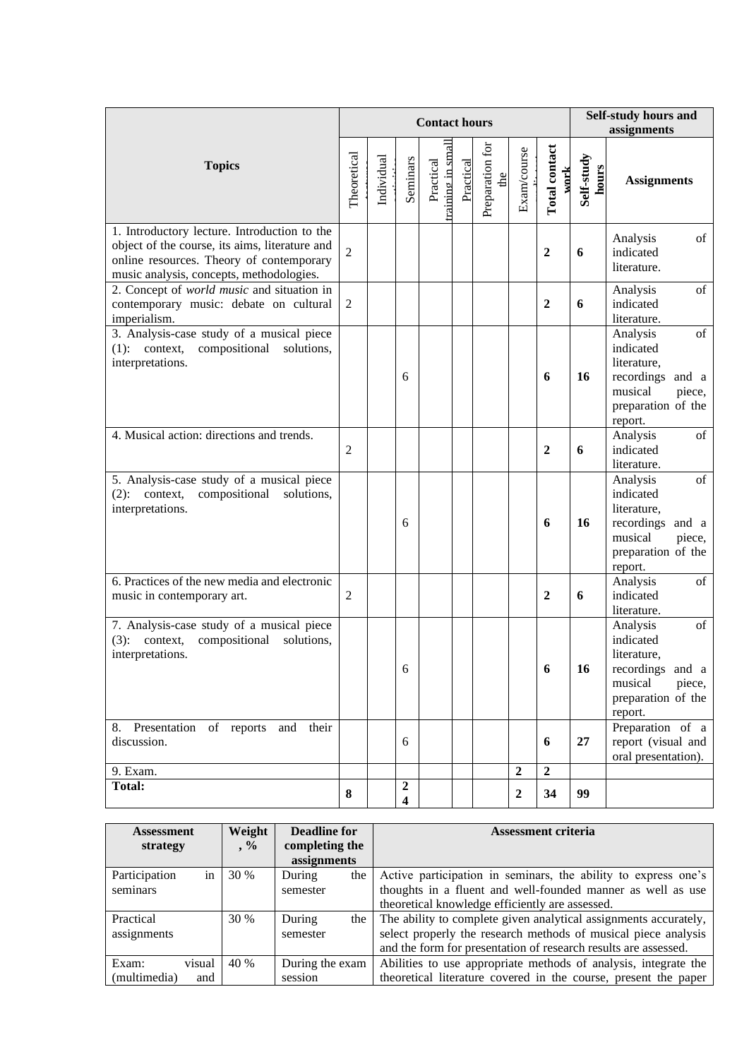|                                                                                                                                                                                        |                |            |                         | <b>Contact hours</b>         |           | Self-study hours and<br>assignments |                  |                       |                     |                                                                                                                      |
|----------------------------------------------------------------------------------------------------------------------------------------------------------------------------------------|----------------|------------|-------------------------|------------------------------|-----------|-------------------------------------|------------------|-----------------------|---------------------|----------------------------------------------------------------------------------------------------------------------|
| <b>Topics</b>                                                                                                                                                                          | Theoretical    | Individual | Seminars                | raining in smal<br>Practical | Practical | Preparation for<br>the              | Exam/course      | Total contact<br>work | Self-study<br>hours | <b>Assignments</b>                                                                                                   |
| 1. Introductory lecture. Introduction to the<br>object of the course, its aims, literature and<br>online resources. Theory of contemporary<br>music analysis, concepts, methodologies. | $\overline{2}$ |            |                         |                              |           |                                     |                  | $\boldsymbol{2}$      | 6                   | of<br>Analysis<br>indicated<br>literature.                                                                           |
| 2. Concept of world music and situation in<br>contemporary music: debate on cultural<br>imperialism.                                                                                   | $\mathbf{2}$   |            |                         |                              |           |                                     |                  | $\boldsymbol{2}$      | 6                   | of<br>Analysis<br>indicated<br>literature.                                                                           |
| 3. Analysis-case study of a musical piece<br>compositional<br>$(1)$ : context,<br>solutions,<br>interpretations.                                                                       |                |            | 6                       |                              |           |                                     |                  | 6                     | 16                  | of<br>Analysis<br>indicated<br>literature,<br>recordings and a<br>musical<br>piece,<br>preparation of the<br>report. |
| 4. Musical action: directions and trends.                                                                                                                                              | $\overline{2}$ |            |                         |                              |           |                                     |                  | $\boldsymbol{2}$      | 6                   | of<br>Analysis<br>indicated<br>literature.                                                                           |
| 5. Analysis-case study of a musical piece<br>compositional<br>$(2)$ : context,<br>solutions,<br>interpretations.                                                                       |                |            | 6                       |                              |           |                                     |                  | 6                     | 16                  | of<br>Analysis<br>indicated<br>literature,<br>recordings and a<br>musical<br>piece,<br>preparation of the<br>report. |
| 6. Practices of the new media and electronic<br>music in contemporary art.                                                                                                             | $\overline{2}$ |            |                         |                              |           |                                     |                  | $\boldsymbol{2}$      | 6                   | Analysis<br>of<br>indicated<br>literature.                                                                           |
| 7. Analysis-case study of a musical piece<br>compositional<br>solutions,<br>$(3)$ : context,<br>interpretations.                                                                       |                |            | 6                       |                              |           |                                     |                  | 6                     | 16                  | Analysis<br>of<br>indicated<br>literature,<br>recordings and a<br>musical<br>piece,<br>preparation of the<br>report. |
| 8. Presentation of reports and their<br>discussion.                                                                                                                                    |                |            | 6                       |                              |           |                                     |                  | 6                     | 27                  | Preparation of a<br>report (visual and<br>oral presentation).                                                        |
| 9. Exam.<br><b>Total:</b>                                                                                                                                                              |                |            | $\boldsymbol{2}$        |                              |           |                                     | $\overline{2}$   | $\overline{2}$        |                     |                                                                                                                      |
|                                                                                                                                                                                        | 8              |            | $\overline{\mathbf{4}}$ |                              |           |                                     | $\boldsymbol{2}$ | 34                    | 99                  |                                                                                                                      |

| <b>Assessment</b> |     | Weight | <b>Deadline for</b> |       | <b>Assessment criteria</b>                                       |
|-------------------|-----|--------|---------------------|-------|------------------------------------------------------------------|
| strategy          |     | $, \%$ | completing the      |       |                                                                  |
|                   |     |        | assignments         |       |                                                                  |
| Participation     | in  | 30 %   | During              | the   | Active participation in seminars, the ability to express one's   |
| seminars          |     |        | semester            |       | thoughts in a fluent and well-founded manner as well as use      |
|                   |     |        |                     |       | theoretical knowledge efficiently are assessed.                  |
| Practical         |     | 30 %   | During              | the 1 | The ability to complete given analytical assignments accurately, |
| assignments       |     |        | semester            |       | select properly the research methods of musical piece analysis   |
|                   |     |        |                     |       | and the form for presentation of research results are assessed.  |
| Exam:<br>visual   |     | 40 %   | During the exam     |       | Abilities to use appropriate methods of analysis, integrate the  |
| (multimedia)      | and |        | session             |       | theoretical literature covered in the course, present the paper  |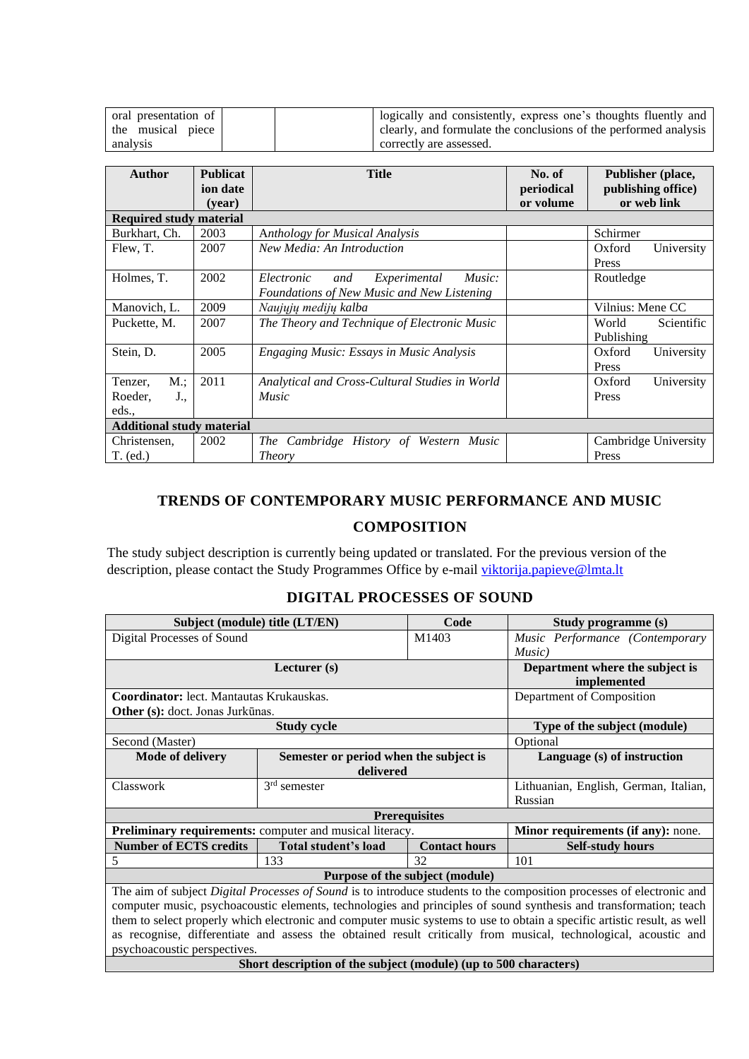| oral presentation of | logically and consistently, express one's thoughts fluently and  |
|----------------------|------------------------------------------------------------------|
| the musical piece    | clearly, and formulate the conclusions of the performed analysis |
| analysis             | correctly are assessed.                                          |

| <b>Author</b>                    | <b>Publicat</b> | <b>Title</b>                                     | No. of     | Publisher (place,    |
|----------------------------------|-----------------|--------------------------------------------------|------------|----------------------|
|                                  | ion date        |                                                  | periodical | publishing office)   |
|                                  | (vear)          |                                                  | or volume  | or web link          |
| <b>Required study material</b>   |                 |                                                  |            |                      |
| Burkhart, Ch.                    | 2003            | <b>Anthology for Musical Analysis</b>            |            | Schirmer             |
| Flew, T.                         | 2007            | New Media: An Introduction                       |            | University<br>Oxford |
|                                  |                 |                                                  |            | Press                |
| Holmes, T.                       | 2002            | Experimental<br>Music:<br>Electronic<br>and      |            | Routledge            |
|                                  |                 | Foundations of New Music and New Listening       |            |                      |
| Manovich, L.                     | 2009            | Naujuju mediju kalba                             |            | Vilnius: Mene CC     |
| Puckette, M.                     | 2007            | The Theory and Technique of Electronic Music     |            | World<br>Scientific  |
|                                  |                 |                                                  |            | Publishing           |
| Stein, D.                        | 2005            | Engaging Music: Essays in Music Analysis         |            | Oxford<br>University |
|                                  |                 |                                                  |            | <b>Press</b>         |
| M:<br>Tenzer,                    | 2011            | Analytical and Cross-Cultural Studies in World   |            | Oxford<br>University |
| Roeder,<br>$J_{\cdot}$           |                 | <i>Music</i>                                     |            | Press                |
| eds.,                            |                 |                                                  |            |                      |
| <b>Additional study material</b> |                 |                                                  |            |                      |
| Christensen,                     | 2002            | The Cambridge History of Western<br><i>Music</i> |            | Cambridge University |
| $T.$ (ed.)                       |                 | <b>Theory</b>                                    |            | Press                |

# <span id="page-10-0"></span>**TRENDS OF CONTEMPORARY MUSIC PERFORMANCE AND MUSIC COMPOSITION**

The study subject description is currently being updated or translated. For the previous version of the description, please contact the Study Programmes Office by e-mail [viktorija.papieve@lmta.lt](mailto:viktorija.papieve@lmta.lt)

### **DIGITAL PROCESSES OF SOUND**

<span id="page-10-1"></span>

| Subject (module) title (LT/EN)           |                                                                                                                          | Code                            | Study programme (s)                                                                                                   |  |  |  |  |
|------------------------------------------|--------------------------------------------------------------------------------------------------------------------------|---------------------------------|-----------------------------------------------------------------------------------------------------------------------|--|--|--|--|
| Digital Processes of Sound               |                                                                                                                          | M1403                           | Music Performance (Contemporary                                                                                       |  |  |  |  |
|                                          |                                                                                                                          |                                 | Music)                                                                                                                |  |  |  |  |
|                                          | Department where the subject is                                                                                          |                                 |                                                                                                                       |  |  |  |  |
|                                          |                                                                                                                          |                                 | implemented                                                                                                           |  |  |  |  |
| Coordinator: lect. Mantautas Krukauskas. |                                                                                                                          |                                 | Department of Composition                                                                                             |  |  |  |  |
| Other (s): doct. Jonas Jurkūnas.         |                                                                                                                          |                                 |                                                                                                                       |  |  |  |  |
|                                          | Type of the subject (module)                                                                                             |                                 |                                                                                                                       |  |  |  |  |
| Second (Master)                          | Optional                                                                                                                 |                                 |                                                                                                                       |  |  |  |  |
| Mode of delivery                         | Semester or period when the subject is                                                                                   |                                 | Language (s) of instruction                                                                                           |  |  |  |  |
|                                          | delivered                                                                                                                |                                 |                                                                                                                       |  |  |  |  |
| Classwork                                | $3rd$ semester                                                                                                           |                                 | Lithuanian, English, German, Italian,                                                                                 |  |  |  |  |
|                                          |                                                                                                                          |                                 | Russian                                                                                                               |  |  |  |  |
|                                          |                                                                                                                          | <b>Prerequisites</b>            |                                                                                                                       |  |  |  |  |
|                                          | Preliminary requirements: computer and musical literacy.                                                                 |                                 | Minor requirements (if any): none.                                                                                    |  |  |  |  |
| <b>Number of ECTS credits</b>            | Total student's load                                                                                                     | <b>Contact hours</b>            | <b>Self-study hours</b>                                                                                               |  |  |  |  |
| 5                                        | 133                                                                                                                      | 32                              | 101                                                                                                                   |  |  |  |  |
|                                          |                                                                                                                          | Purpose of the subject (module) |                                                                                                                       |  |  |  |  |
|                                          |                                                                                                                          |                                 | The aim of subject Digital Processes of Sound is to introduce students to the composition processes of electronic and |  |  |  |  |
|                                          | computer music, psychoacoustic elements, technologies and principles of sound synthesis and transformation; teach        |                                 |                                                                                                                       |  |  |  |  |
|                                          | them to select properly which electronic and computer music systems to use to obtain a specific artistic result, as well |                                 |                                                                                                                       |  |  |  |  |
|                                          |                                                                                                                          |                                 | as recognise, differentiate and assess the obtained result critically from musical, technological, acoustic and       |  |  |  |  |
| psychoacoustic perspectives.             |                                                                                                                          |                                 |                                                                                                                       |  |  |  |  |
|                                          | Short description of the subject (module) (up to 500 characters)                                                         |                                 |                                                                                                                       |  |  |  |  |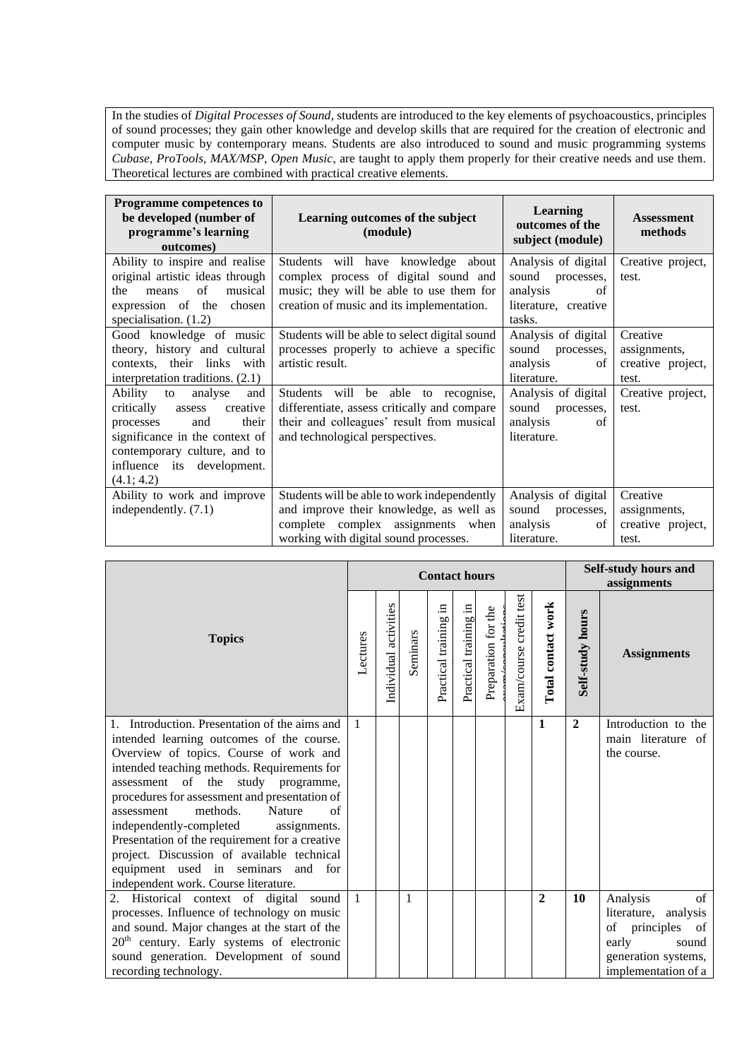In the studies of *Digital Processes of Sound*, students are introduced to the key elements of psychoacoustics, principles of sound processes; they gain other knowledge and develop skills that are required for the creation of electronic and computer music by contemporary means. Students are also introduced to sound and music programming systems *Cubase, ProTools, MAX/MSP, Open Music*, are taught to apply them properly for their creative needs and use them. Theoretical lectures are combined with practical creative elements.

| <b>Programme competences to</b><br>be developed (number of<br>programme's learning<br>outcomes)                                                                                                          | Learning outcomes of the subject<br>(module)                                                                                                                         | <b>Learning</b><br>outcomes of the<br>subject (module)                                         | <b>Assessment</b><br>methods                           |
|----------------------------------------------------------------------------------------------------------------------------------------------------------------------------------------------------------|----------------------------------------------------------------------------------------------------------------------------------------------------------------------|------------------------------------------------------------------------------------------------|--------------------------------------------------------|
| Ability to inspire and realise<br>original artistic ideas through<br>of<br>the<br>musical<br>means<br>expression of the chosen<br>specialisation. $(1.2)$                                                | Students will have knowledge about<br>complex process of digital sound and<br>music; they will be able to use them for<br>creation of music and its implementation.  | Analysis of digital<br>sound<br>processes,<br>analysis<br>of<br>literature, creative<br>tasks. | Creative project,<br>test.                             |
| Good knowledge of music<br>theory, history and cultural<br>contexts, their links with<br>interpretation traditions. (2.1)                                                                                | Students will be able to select digital sound<br>processes properly to achieve a specific<br>artistic result.                                                        | Analysis of digital<br>sound<br>processes,<br>analysis<br>of<br>literature.                    | Creative<br>assignments,<br>creative project,<br>test. |
| Ability to<br>analyse<br>and<br>critically assess<br>creative<br>processes<br>and<br>their<br>significance in the context of<br>contemporary culture, and to<br>influence its development.<br>(4.1; 4.2) | Students will be able to recognise,<br>differentiate, assess critically and compare<br>their and colleagues' result from musical<br>and technological perspectives.  | Analysis of digital<br>sound processes,<br>analysis<br>of<br>literature.                       | Creative project,<br>test.                             |
| Ability to work and improve<br>independently. (7.1)                                                                                                                                                      | Students will be able to work independently<br>and improve their knowledge, as well as<br>complete complex assignments when<br>working with digital sound processes. | Analysis of digital<br>sound<br>processes,<br>analysis<br>οf<br>literature.                    | Creative<br>assignments,<br>creative project,<br>test. |

|                                                                                                                                                                                                                                                                                                                                                                                                                                                                                                                                                       |              |                       |          | <b>Contact hours</b>     |                       | Self-study hours and<br>assignments |                         |                    |                  |                                                                                                                               |
|-------------------------------------------------------------------------------------------------------------------------------------------------------------------------------------------------------------------------------------------------------------------------------------------------------------------------------------------------------------------------------------------------------------------------------------------------------------------------------------------------------------------------------------------------------|--------------|-----------------------|----------|--------------------------|-----------------------|-------------------------------------|-------------------------|--------------------|------------------|-------------------------------------------------------------------------------------------------------------------------------|
| <b>Topics</b>                                                                                                                                                                                                                                                                                                                                                                                                                                                                                                                                         | Lectures     | Individual activities | Seminars | .日<br>Practical training | Practical training in | Preparation for the                 | Exam/course credit test | Total contact work | Self-study hours | <b>Assignments</b>                                                                                                            |
| 1. Introduction. Presentation of the aims and<br>intended learning outcomes of the course.<br>Overview of topics. Course of work and<br>intended teaching methods. Requirements for<br>assessment of the study programme,<br>procedures for assessment and presentation of<br>methods.<br>Nature<br>$\alpha$ f<br>assessment<br>independently-completed<br>assignments.<br>Presentation of the requirement for a creative<br>project. Discussion of available technical<br>equipment used in seminars and for<br>independent work. Course literature. | $\mathbf{1}$ |                       |          |                          |                       |                                     |                         | $\mathbf{1}$       | $\overline{2}$   | Introduction to the<br>main literature of<br>the course.                                                                      |
| 2. Historical context of digital sound<br>processes. Influence of technology on music<br>and sound. Major changes at the start of the<br>20 <sup>th</sup> century. Early systems of electronic<br>sound generation. Development of sound<br>recording technology.                                                                                                                                                                                                                                                                                     | $\mathbf{1}$ |                       | 1        |                          |                       |                                     |                         | $\overline{2}$     | 10               | Analysis<br>of<br>literature, analysis<br>of principles<br>of<br>early<br>sound<br>generation systems,<br>implementation of a |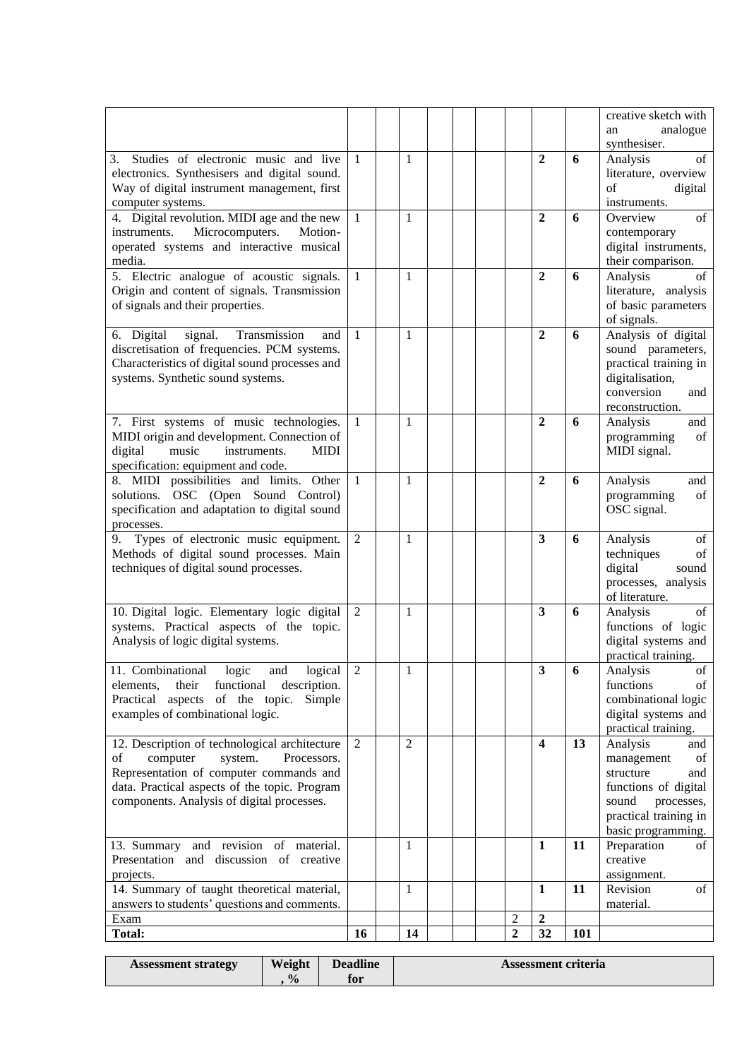|                                                                                                                                                                                                                                     |                              |                   |  |   |                                |        | creative sketch with<br>analogue<br>an                                                                                                                |
|-------------------------------------------------------------------------------------------------------------------------------------------------------------------------------------------------------------------------------------|------------------------------|-------------------|--|---|--------------------------------|--------|-------------------------------------------------------------------------------------------------------------------------------------------------------|
| Studies of electronic music and live<br>3.<br>electronics. Synthesisers and digital sound.<br>Way of digital instrument management, first<br>computer systems.<br>4. Digital revolution. MIDI age and the new                       | $\mathbf{1}$<br>$\mathbf{1}$ | $\mathbf{1}$<br>1 |  |   | $\mathbf{2}$<br>$\overline{2}$ | 6<br>6 | synthesiser.<br>Analysis<br>of<br>literature, overview<br>of<br>digital<br>instruments.<br>of<br>Overview                                             |
| instruments. Microcomputers.<br>Motion-<br>operated systems and interactive musical<br>media.                                                                                                                                       |                              |                   |  |   |                                |        | contemporary<br>digital instruments,<br>their comparison.                                                                                             |
| 5. Electric analogue of acoustic signals.<br>Origin and content of signals. Transmission<br>of signals and their properties.                                                                                                        | $\mathbf{1}$                 | 1                 |  |   | $\mathbf{2}$                   | 6      | of<br>Analysis<br>literature, analysis<br>of basic parameters<br>of signals.                                                                          |
| signal.<br>6. Digital<br>Transmission<br>and<br>discretisation of frequencies. PCM systems.<br>Characteristics of digital sound processes and<br>systems. Synthetic sound systems.                                                  | 1                            | 1                 |  |   | $\mathbf{2}$                   | 6      | Analysis of digital<br>sound parameters,<br>practical training in<br>digitalisation,<br>conversion<br>and<br>reconstruction.                          |
| 7. First systems of music technologies.<br>MIDI origin and development. Connection of<br>digital<br>music<br>instruments.<br><b>MIDI</b><br>specification: equipment and code.                                                      | -1                           | 1                 |  |   | $\overline{2}$                 | 6      | Analysis<br>and<br>programming<br>of<br>MIDI signal.                                                                                                  |
| 8. MIDI possibilities and limits. Other<br>solutions. OSC (Open Sound Control)<br>specification and adaptation to digital sound<br>processes.                                                                                       | $\overline{1}$               | 1                 |  |   | $\mathbf{2}$                   | 6      | Analysis<br>and<br>of<br>programming<br>OSC signal.                                                                                                   |
| 9. Types of electronic music equipment.<br>Methods of digital sound processes. Main<br>techniques of digital sound processes.                                                                                                       | 2                            | $\mathbf{1}$      |  |   | 3                              | 6      | Analysis<br>of<br>techniques<br>of<br>digital<br>sound<br>processes, analysis<br>of literature.                                                       |
| 10. Digital logic. Elementary logic digital<br>systems. Practical aspects of the topic.<br>Analysis of logic digital systems.                                                                                                       | 2                            | 1                 |  |   | 3                              | 6      | of<br>Analysis<br>functions of logic<br>digital systems and<br>practical training.                                                                    |
| 11. Combinational logic and<br>logical<br>their functional<br>elements,<br>description.<br>Practical aspects of the topic.<br>Simple<br>examples of combinational logic.                                                            | $\overline{2}$               | 1                 |  |   | s                              | 6      | Analysis<br>of<br>of<br>functions<br>combinational logic<br>digital systems and<br>practical training.                                                |
| 12. Description of technological architecture<br>computer<br>of<br>system.<br>Processors.<br>Representation of computer commands and<br>data. Practical aspects of the topic. Program<br>components. Analysis of digital processes. | 2                            | $\overline{2}$    |  |   | $\overline{\mathbf{4}}$        | 13     | Analysis<br>and<br>management<br>of<br>structure<br>and<br>functions of digital<br>sound<br>processes,<br>practical training in<br>basic programming. |
| 13. Summary and revision of material.<br>Presentation and discussion of creative<br>projects.                                                                                                                                       |                              | 1                 |  |   | $\mathbf{1}$                   | 11     | Preparation<br>of<br>creative<br>assignment.                                                                                                          |
|                                                                                                                                                                                                                                     |                              | $\mathbf{1}$      |  |   | $\mathbf{1}$                   | 11     | Revision<br>of                                                                                                                                        |
| 14. Summary of taught theoretical material,<br>answers to students' questions and comments.<br>Exam                                                                                                                                 |                              |                   |  | 2 | $\overline{2}$                 |        | material.                                                                                                                                             |

| <b>Assessment strategy</b> | Weight        | <b>Deadline</b> | <b>Assessment criteria</b> |
|----------------------------|---------------|-----------------|----------------------------|
|                            | $\frac{0}{0}$ | for             |                            |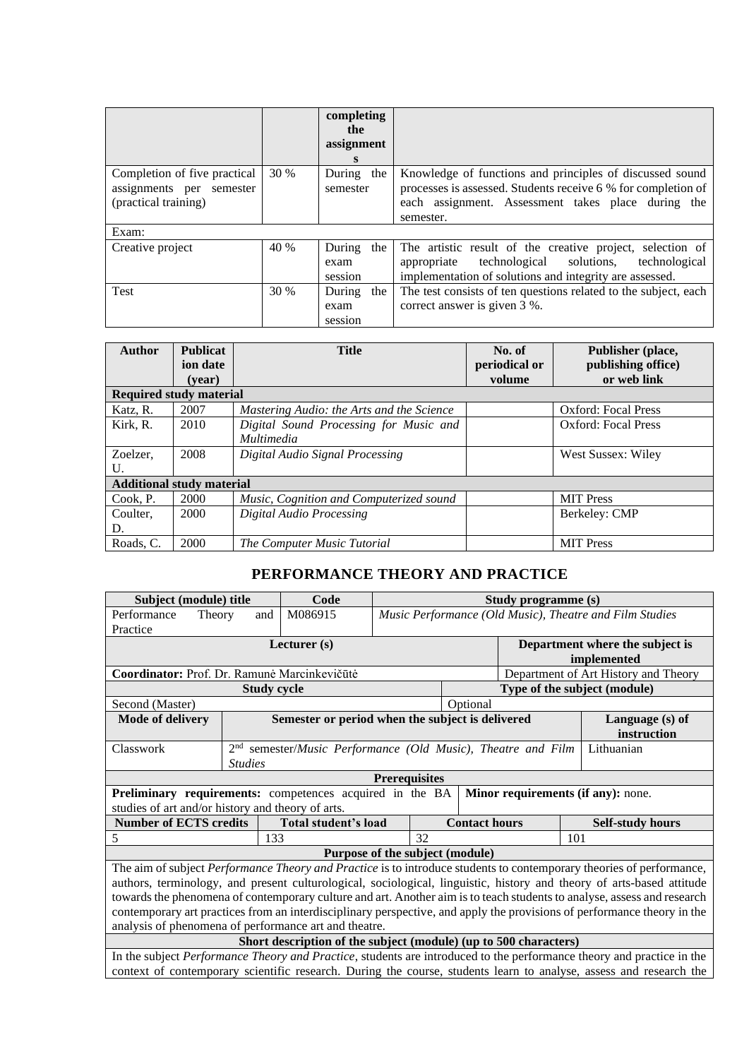|                                                                                  |      | completing<br>the<br>assignment<br>$\mathbf{s}$ |                                                                                                                                                                                              |
|----------------------------------------------------------------------------------|------|-------------------------------------------------|----------------------------------------------------------------------------------------------------------------------------------------------------------------------------------------------|
| Completion of five practical<br>assignments per semester<br>(practical training) | 30 % | During the<br>semester                          | Knowledge of functions and principles of discussed sound<br>processes is assessed. Students receive 6 % for completion of<br>each assignment. Assessment takes place during the<br>semester. |
| Exam:                                                                            |      |                                                 |                                                                                                                                                                                              |
| Creative project                                                                 | 40 % | During the<br>exam<br>session                   | The artistic result of the creative project, selection of<br>technological solutions,<br>technological<br>appropriate<br>implementation of solutions and integrity are assessed.             |
| Test                                                                             | 30 % | During<br>the<br>exam<br>session                | The test consists of ten questions related to the subject, each<br>correct answer is given 3 %.                                                                                              |

| <b>Author</b>                    | <b>Publicat</b> | <b>Title</b>                              | No. of        | Publisher (place,          |
|----------------------------------|-----------------|-------------------------------------------|---------------|----------------------------|
|                                  | ion date        |                                           | periodical or | publishing office)         |
|                                  | (vear)          |                                           | volume        | or web link                |
| <b>Required study material</b>   |                 |                                           |               |                            |
| Katz, R.                         | 2007            | Mastering Audio: the Arts and the Science |               | <b>Oxford: Focal Press</b> |
| Kirk, R.                         | 2010            | Digital Sound Processing for Music and    |               | <b>Oxford: Focal Press</b> |
|                                  |                 | <i>Multimedia</i>                         |               |                            |
| Zoelzer,                         | 2008            | Digital Audio Signal Processing           |               | West Sussex: Wiley         |
| U.                               |                 |                                           |               |                            |
| <b>Additional study material</b> |                 |                                           |               |                            |
| Cook. P.                         | 2000            | Music, Cognition and Computerized sound   |               | <b>MIT Press</b>           |
| Coulter,                         | 2000            | Digital Audio Processing                  |               | Berkeley: CMP              |
| D.                               |                 |                                           |               |                            |
| Roads, C.                        | 2000            | The Computer Music Tutorial               |               | <b>MIT</b> Press           |

# **PERFORMANCE THEORY AND PRACTICE**

<span id="page-13-0"></span>

| Subject (module) title                                                                                                  |                                                       | Code                                                                           |                                 |                                                         | Study programme (s) |                                                                                                                       |  |  |  |  |  |
|-------------------------------------------------------------------------------------------------------------------------|-------------------------------------------------------|--------------------------------------------------------------------------------|---------------------------------|---------------------------------------------------------|---------------------|-----------------------------------------------------------------------------------------------------------------------|--|--|--|--|--|
| Performance<br>Theory                                                                                                   | and                                                   | M086915                                                                        |                                 | Music Performance (Old Music), Theatre and Film Studies |                     |                                                                                                                       |  |  |  |  |  |
| Practice                                                                                                                |                                                       |                                                                                |                                 |                                                         |                     |                                                                                                                       |  |  |  |  |  |
| Lecturer (s)<br>Department where the subject is                                                                         |                                                       |                                                                                |                                 |                                                         |                     |                                                                                                                       |  |  |  |  |  |
| implemented                                                                                                             |                                                       |                                                                                |                                 |                                                         |                     |                                                                                                                       |  |  |  |  |  |
| Coordinator: Prof. Dr. Ramunė Marcinkevičūtė                                                                            |                                                       |                                                                                |                                 |                                                         |                     | Department of Art History and Theory                                                                                  |  |  |  |  |  |
|                                                                                                                         |                                                       | <b>Study cycle</b>                                                             |                                 |                                                         |                     | Type of the subject (module)                                                                                          |  |  |  |  |  |
| Second (Master)                                                                                                         |                                                       |                                                                                |                                 | Optional                                                |                     |                                                                                                                       |  |  |  |  |  |
| <b>Mode of delivery</b>                                                                                                 |                                                       | Semester or period when the subject is delivered                               |                                 |                                                         |                     | Language (s) of                                                                                                       |  |  |  |  |  |
|                                                                                                                         |                                                       |                                                                                |                                 |                                                         |                     | instruction                                                                                                           |  |  |  |  |  |
| Classwork                                                                                                               |                                                       | $2nd$ semester/ <i>Music Performance (Old Music)</i> , <i>Theatre and Film</i> |                                 |                                                         |                     | Lithuanian                                                                                                            |  |  |  |  |  |
|                                                                                                                         | <b>Studies</b>                                        |                                                                                |                                 |                                                         |                     |                                                                                                                       |  |  |  |  |  |
|                                                                                                                         |                                                       |                                                                                | <b>Prerequisites</b>            |                                                         |                     |                                                                                                                       |  |  |  |  |  |
| Preliminary requirements: competences acquired in the BA                                                                |                                                       |                                                                                |                                 |                                                         |                     | Minor requirements (if any): none.                                                                                    |  |  |  |  |  |
| studies of art and/or history and theory of arts.                                                                       |                                                       |                                                                                |                                 |                                                         |                     |                                                                                                                       |  |  |  |  |  |
| <b>Number of ECTS credits</b>                                                                                           |                                                       | Total student's load                                                           |                                 | <b>Contact hours</b>                                    |                     | <b>Self-study hours</b>                                                                                               |  |  |  |  |  |
| 5                                                                                                                       |                                                       | 133                                                                            | 32                              |                                                         |                     | 101                                                                                                                   |  |  |  |  |  |
|                                                                                                                         |                                                       |                                                                                | Purpose of the subject (module) |                                                         |                     |                                                                                                                       |  |  |  |  |  |
|                                                                                                                         |                                                       |                                                                                |                                 |                                                         |                     | The aim of subject Performance Theory and Practice is to introduce students to contemporary theories of performance,  |  |  |  |  |  |
|                                                                                                                         |                                                       |                                                                                |                                 |                                                         |                     | authors, terminology, and present culturological, sociological, linguistic, history and theory of arts-based attitude |  |  |  |  |  |
| towards the phenomena of contemporary culture and art. Another aim is to teach students to analyse, assess and research |                                                       |                                                                                |                                 |                                                         |                     |                                                                                                                       |  |  |  |  |  |
| contemporary art practices from an interdisciplinary perspective, and apply the provisions of performance theory in the |                                                       |                                                                                |                                 |                                                         |                     |                                                                                                                       |  |  |  |  |  |
|                                                                                                                         | analysis of phenomena of performance art and theatre. |                                                                                |                                 |                                                         |                     |                                                                                                                       |  |  |  |  |  |
|                                                                                                                         |                                                       | Short description of the subject (module) (up to 500 characters)               |                                 |                                                         |                     |                                                                                                                       |  |  |  |  |  |
|                                                                                                                         |                                                       |                                                                                |                                 |                                                         |                     | In the subject Performance Theory and Practice, students are introduced to the performance theory and practice in the |  |  |  |  |  |

context of contemporary scientific research. During the course, students learn to analyse, assess and research the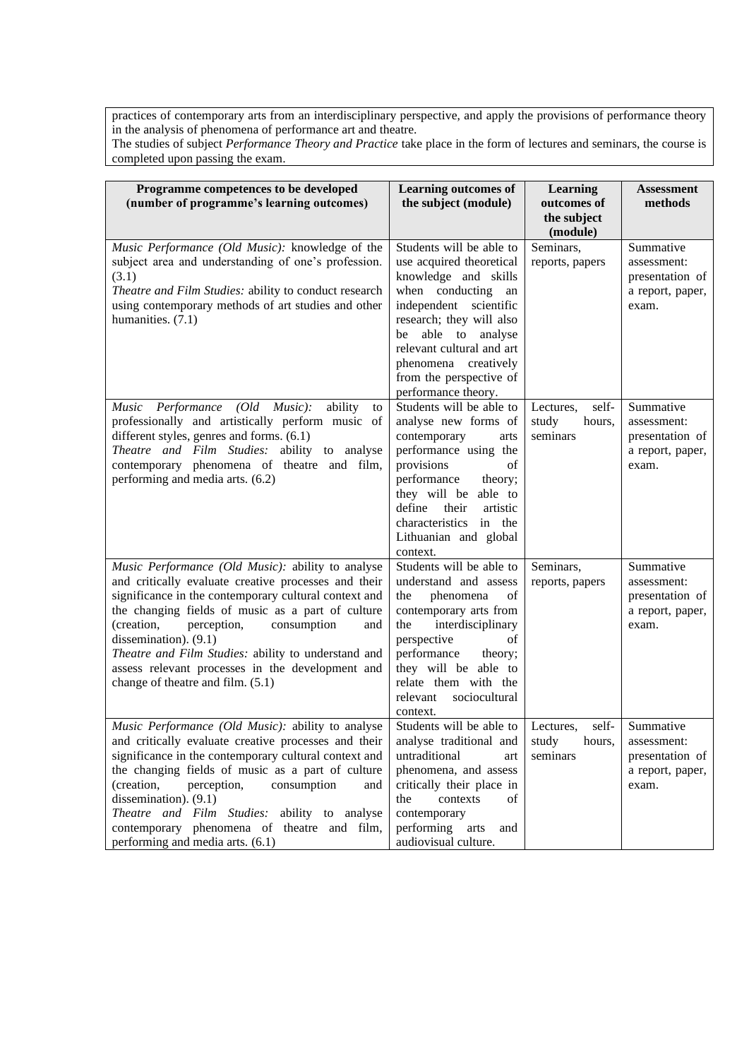practices of contemporary arts from an interdisciplinary perspective, and apply the provisions of performance theory in the analysis of phenomena of performance art and theatre.

The studies of subject *Performance Theory and Practice* take place in the form of lectures and seminars, the course is completed upon passing the exam.

| Programme competences to be developed<br>(number of programme's learning outcomes)                                                                                                                                                                                                                                                                                                                                                                  | <b>Learning outcomes of</b><br>the subject (module)                                                                                                                                                                                                                                         | <b>Learning</b><br>outcomes of<br>the subject<br>(module) | <b>Assessment</b><br>methods                                                    |
|-----------------------------------------------------------------------------------------------------------------------------------------------------------------------------------------------------------------------------------------------------------------------------------------------------------------------------------------------------------------------------------------------------------------------------------------------------|---------------------------------------------------------------------------------------------------------------------------------------------------------------------------------------------------------------------------------------------------------------------------------------------|-----------------------------------------------------------|---------------------------------------------------------------------------------|
| Music Performance (Old Music): knowledge of the<br>subject area and understanding of one's profession.<br>(3.1)<br>Theatre and Film Studies: ability to conduct research<br>using contemporary methods of art studies and other<br>humanities. (7.1)                                                                                                                                                                                                | Students will be able to<br>use acquired theoretical<br>knowledge and skills<br>when conducting<br>an<br>independent scientific<br>research; they will also<br>able to analyse<br>be<br>relevant cultural and art<br>phenomena creatively<br>from the perspective of<br>performance theory. | Seminars,<br>reports, papers                              | Summative<br>assessment:<br>presentation of<br>a report, paper,<br>exam.        |
| $(Old$ <i>Music</i> ):<br>ability<br>Music Performance<br>to<br>professionally and artistically perform music of<br>different styles, genres and forms. (6.1)<br>Theatre and Film Studies: ability to analyse<br>contemporary phenomena of theatre and film,<br>performing and media arts. (6.2)                                                                                                                                                    | Students will be able to<br>analyse new forms of<br>contemporary<br>arts<br>performance using the<br>provisions<br>of<br>performance<br>theory;<br>they will be able to<br>define their<br>artistic<br>characteristics in the<br>Lithuanian and global<br>context.                          | self-<br>Lectures,<br>study<br>hours,<br>seminars         | Summative<br>assessment:<br>presentation of<br>a report, paper,<br>exam.        |
| Music Performance (Old Music): ability to analyse<br>and critically evaluate creative processes and their<br>significance in the contemporary cultural context and<br>the changing fields of music as a part of culture<br>(creation,<br>perception,<br>consumption<br>and<br>dissemination). (9.1)<br>Theatre and Film Studies: ability to understand and<br>assess relevant processes in the development and<br>change of theatre and film. (5.1) | Students will be able to<br>understand and assess<br>phenomena<br>the<br>of<br>contemporary arts from<br>the<br>interdisciplinary<br>perspective<br>οf<br>performance<br>theory;<br>they will be able to<br>relate them with the<br>sociocultural<br>relevant<br>context.                   | Seminars,<br>reports, papers                              | Summative<br>assessment:<br>presentation of<br>a report, paper,<br>exam.        |
| Music Performance (Old Music): ability to analyse<br>and critically evaluate creative processes and their<br>significance in the contemporary cultural context and<br>the changing fields of music as a part of culture<br>(creation,<br>perception,<br>consumption<br>and<br>dissemination). (9.1)<br>Theatre and Film Studies: ability to analyse<br>contemporary phenomena of theatre and film,<br>performing and media arts. (6.1)              | Students will be able to Lectures,<br>analyse traditional and study<br>untraditional<br>art<br>phenomena, and assess<br>critically their place in<br>the<br>contexts<br>οf<br>contemporary<br>performing<br>arts<br>and<br>audiovisual culture.                                             | self-<br>seminars                                         | Summative<br>hours, assessment:<br>presentation of<br>a report, paper,<br>exam. |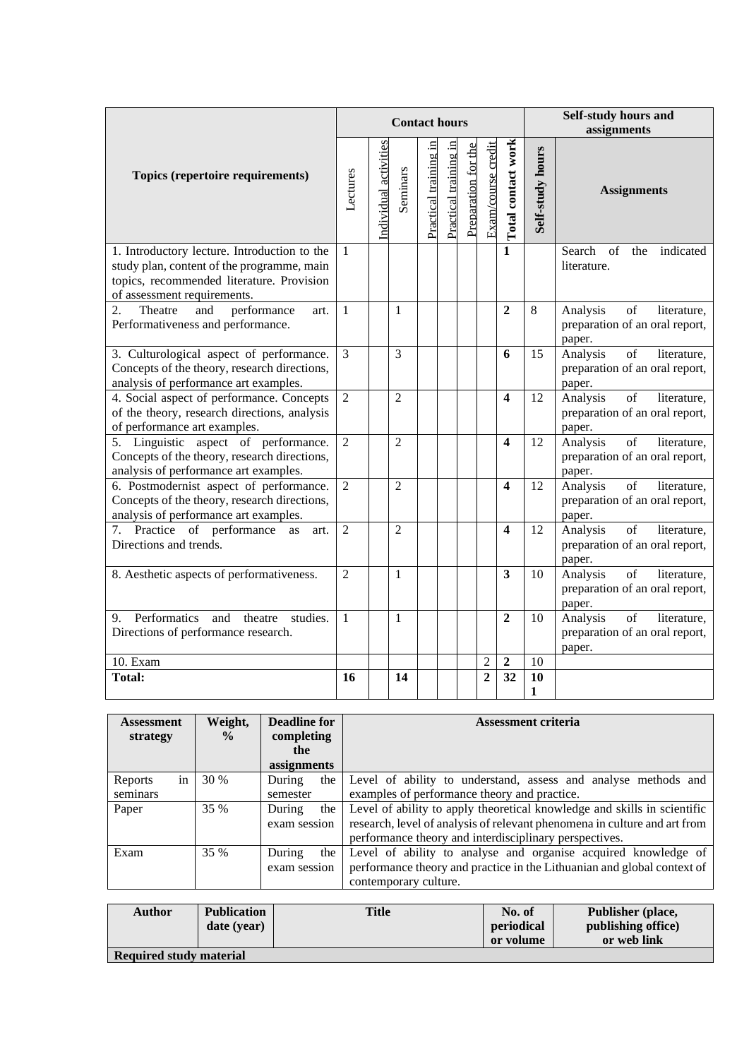|                                                                                                                                                                        |                |                       | <b>Contact hours</b> |                              |                       |                     |                    |                         |                  | Self-study hours and<br>assignments                                                           |
|------------------------------------------------------------------------------------------------------------------------------------------------------------------------|----------------|-----------------------|----------------------|------------------------------|-----------------------|---------------------|--------------------|-------------------------|------------------|-----------------------------------------------------------------------------------------------|
| Topics (repertoire requirements)                                                                                                                                       | Lectures       | Individual activities | Seminars             | <u>Practical training in</u> | Practical training in | Preparation for the | Exam/course credit | Total contact work      | Self-study hours | <b>Assignments</b>                                                                            |
| 1. Introductory lecture. Introduction to the<br>study plan, content of the programme, main<br>topics, recommended literature. Provision<br>of assessment requirements. | $\mathbf{1}$   |                       |                      |                              |                       |                     |                    | $\mathbf{1}$            |                  | Search<br>of<br>the<br>indicated<br>literature.                                               |
| performance<br>2.<br>Theatre<br>and<br>art.<br>Performativeness and performance.                                                                                       | $\mathbf{1}$   |                       | 1                    |                              |                       |                     |                    | $\overline{2}$          | 8                | Analysis<br>of<br>literature,<br>preparation of an oral report,<br>paper.                     |
| 3. Culturological aspect of performance.<br>Concepts of the theory, research directions,<br>analysis of performance art examples.                                      | $\overline{3}$ |                       | 3                    |                              |                       |                     |                    | 6                       | 15               | Analysis<br>of<br>literature,<br>preparation of an oral report,<br>paper.                     |
| 4. Social aspect of performance. Concepts<br>of the theory, research directions, analysis<br>of performance art examples.                                              | $\overline{2}$ |                       | $\overline{2}$       |                              |                       |                     |                    | $\overline{\mathbf{4}}$ | 12               | Analysis<br>of<br>literature,<br>preparation of an oral report,<br>paper.                     |
| 5. Linguistic aspect of performance.<br>Concepts of the theory, research directions,<br>analysis of performance art examples.                                          | $\overline{2}$ |                       | $\overline{2}$       |                              |                       |                     |                    | $\overline{\mathbf{4}}$ | 12               | Analysis<br>$\overline{\text{of}}$<br>literature.<br>preparation of an oral report,<br>paper. |
| 6. Postmodernist aspect of performance.<br>Concepts of the theory, research directions,<br>analysis of performance art examples.                                       | $\overline{2}$ |                       | $\overline{2}$       |                              |                       |                     |                    | $\overline{\mathbf{4}}$ | 12               | Analysis<br>of<br>literature,<br>preparation of an oral report,<br>paper.                     |
| 7. Practice of performance<br>as<br>art.<br>Directions and trends.                                                                                                     | $\overline{2}$ |                       | $\overline{2}$       |                              |                       |                     |                    | $\boldsymbol{4}$        | 12               | Analysis<br>of<br>literature,<br>preparation of an oral report,<br>paper.                     |
| 8. Aesthetic aspects of performativeness.                                                                                                                              | $\overline{2}$ |                       | 1                    |                              |                       |                     |                    | 3                       | 10               | Analysis<br>of<br>literature,<br>preparation of an oral report,<br>paper.                     |
| Performatics<br>studies.<br>and theatre<br>9.<br>Directions of performance research.                                                                                   | $\overline{1}$ |                       | 1                    |                              |                       |                     |                    | $\overline{2}$          | 10               | of<br>Analysis<br>literature.<br>preparation of an oral report,<br>paper.                     |
| 10. Exam                                                                                                                                                               |                |                       |                      |                              |                       |                     | $\overline{c}$     | 2                       | 10               |                                                                                               |
| <b>Total:</b>                                                                                                                                                          | 16             |                       | 14                   |                              |                       |                     | $\overline{2}$     | 32                      | 10<br>1          |                                                                                               |

| <b>Assessment</b><br>strategy | Weight,<br>$\frac{0}{0}$ | <b>Deadline for</b><br>completing | <b>Assessment criteria</b>                                                |
|-------------------------------|--------------------------|-----------------------------------|---------------------------------------------------------------------------|
|                               |                          | the                               |                                                                           |
|                               |                          | assignments                       |                                                                           |
| in<br>Reports                 | <b>30 %</b>              | During<br>the                     | Level of ability to understand, assess and analyse methods and            |
| seminars                      |                          | semester                          | examples of performance theory and practice.                              |
| Paper                         | 35 %                     | During<br>the                     | Level of ability to apply theoretical knowledge and skills in scientific  |
|                               |                          | exam session                      | research, level of analysis of relevant phenomena in culture and art from |
|                               |                          |                                   | performance theory and interdisciplinary perspectives.                    |
| Exam                          | 35 %                     | During<br>the                     | Level of ability to analyse and organise acquired knowledge of            |
|                               |                          | exam session                      | performance theory and practice in the Lithuanian and global context of   |
|                               |                          |                                   | contemporary culture.                                                     |

| <b>Author</b>           | <b>Publication</b> | <b>Title</b> | No. of     | Publisher (place,  |
|-------------------------|--------------------|--------------|------------|--------------------|
|                         | date (year)        |              | periodical | publishing office) |
|                         |                    |              | or volume  | or web link        |
| Required study material |                    |              |            |                    |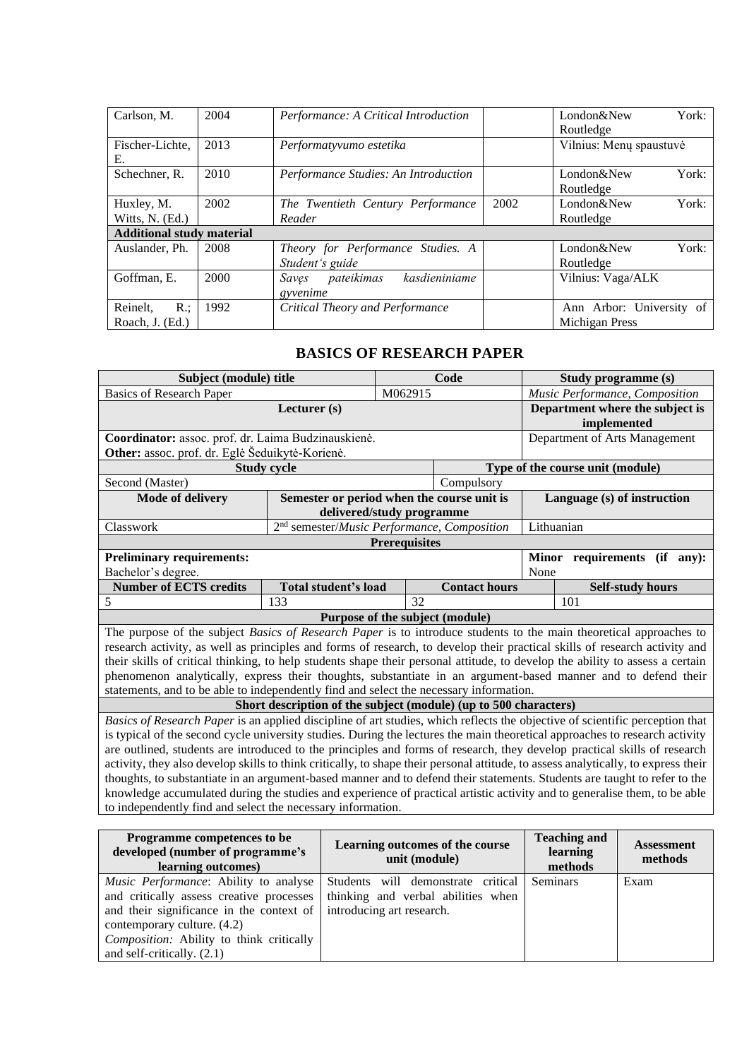| Carlson, M.                      | 2004 | Performance: A Critical Introduction |      | London&New               | York: |  |
|----------------------------------|------|--------------------------------------|------|--------------------------|-------|--|
|                                  |      |                                      |      | Routledge                |       |  |
| Fischer-Lichte,                  | 2013 | Performatyvumo estetika              |      | Vilnius: Menų spaustuvė  |       |  |
| Е.                               |      |                                      |      |                          |       |  |
| Schechner, R.                    | 2010 | Performance Studies: An Introduction |      | London&New               | York: |  |
|                                  |      |                                      |      | Routledge                |       |  |
| Huxley, M.                       | 2002 | The Twentieth Century Performance    | 2002 | London&New               | York: |  |
| Witts, N. (Ed.)                  |      | Reader                               |      | Routledge                |       |  |
| <b>Additional study material</b> |      |                                      |      |                          |       |  |
| Auslander, Ph.                   | 2008 | Theory for Performance Studies. A    |      | London&New               | York: |  |
|                                  |      | Student's guide                      |      | Routledge                |       |  |
| Goffman, E.                      | 2000 | kasdieniniame<br>pateikimas<br>Saves |      | Vilnius: Vaga/ALK        |       |  |
|                                  |      | gyvenime                             |      |                          |       |  |
| Reinelt.<br>$R$ .;               | 1992 | Critical Theory and Performance      |      | Ann Arbor: University of |       |  |
| Roach, J. (Ed.)                  |      |                                      |      | Michigan Press           |       |  |

# **BASICS OF RESEARCH PAPER**

**Subject (module) title Code Study programme (s)**

<span id="page-16-0"></span>

| <b>Basics of Research Paper</b>                                                                                                    |                    |                                 | M062915              |                                                                  | Music Performance, Composition |                                  |                         |  |
|------------------------------------------------------------------------------------------------------------------------------------|--------------------|---------------------------------|----------------------|------------------------------------------------------------------|--------------------------------|----------------------------------|-------------------------|--|
|                                                                                                                                    |                    | Department where the subject is |                      |                                                                  |                                |                                  |                         |  |
|                                                                                                                                    |                    | implemented                     |                      |                                                                  |                                |                                  |                         |  |
| Coordinator: assoc. prof. dr. Laima Budzinauskienė.                                                                                |                    | Department of Arts Management   |                      |                                                                  |                                |                                  |                         |  |
| Other: assoc. prof. dr. Eglė Šeduikytė-Korienė.                                                                                    |                    |                                 |                      |                                                                  |                                |                                  |                         |  |
|                                                                                                                                    | <b>Study cycle</b> |                                 |                      |                                                                  |                                | Type of the course unit (module) |                         |  |
| Second (Master)                                                                                                                    |                    |                                 |                      | Compulsory                                                       |                                |                                  |                         |  |
| Mode of delivery                                                                                                                   |                    |                                 |                      | Semester or period when the course unit is                       |                                | Language (s) of instruction      |                         |  |
|                                                                                                                                    |                    | delivered/study programme       |                      |                                                                  |                                |                                  |                         |  |
| Classwork                                                                                                                          |                    |                                 |                      | 2 <sup>nd</sup> semester/Music Performance, Composition          | Lithuanian                     |                                  |                         |  |
|                                                                                                                                    |                    |                                 | <b>Prerequisites</b> |                                                                  |                                |                                  |                         |  |
| Preliminary requirements:                                                                                                          |                    |                                 |                      |                                                                  |                                | Minor requirements (if any):     |                         |  |
| Bachelor's degree.                                                                                                                 |                    |                                 |                      |                                                                  | None                           |                                  |                         |  |
| <b>Number of ECTS credits</b>                                                                                                      |                    | Total student's load            |                      | <b>Contact hours</b>                                             |                                |                                  | <b>Self-study hours</b> |  |
| 5                                                                                                                                  | 133                |                                 | $\overline{32}$      |                                                                  |                                | 101                              |                         |  |
|                                                                                                                                    |                    | Purpose of the subject (module) |                      |                                                                  |                                |                                  |                         |  |
| The purpose of the subject <i>Basics of Research Paper</i> is to introduce students to the main theoretical approaches to          |                    |                                 |                      |                                                                  |                                |                                  |                         |  |
| research activity, as well as principles and forms of research, to develop their practical skills of research activity and         |                    |                                 |                      |                                                                  |                                |                                  |                         |  |
| their skills of critical thinking, to help students shape their personal attitude, to develop the ability to assess a certain      |                    |                                 |                      |                                                                  |                                |                                  |                         |  |
| phenomenon analytically, express their thoughts, substantiate in an argument-based manner and to defend their                      |                    |                                 |                      |                                                                  |                                |                                  |                         |  |
| statements, and to be able to independently find and select the necessary information.                                             |                    |                                 |                      |                                                                  |                                |                                  |                         |  |
|                                                                                                                                    |                    |                                 |                      | Short description of the subject (module) (up to 500 characters) |                                |                                  |                         |  |
| Basics of Research Paper is an applied discipline of art studies, which reflects the objective of scientific perception that       |                    |                                 |                      |                                                                  |                                |                                  |                         |  |
| is typical of the second cycle university studies. During the lectures the main theoretical approaches to research activity        |                    |                                 |                      |                                                                  |                                |                                  |                         |  |
| are outlined, students are introduced to the principles and forms of research, they develop practical skills of research           |                    |                                 |                      |                                                                  |                                |                                  |                         |  |
| activity, they also develop skills to think critically, to shape their personal attitude, to assess analytically, to express their |                    |                                 |                      |                                                                  |                                |                                  |                         |  |
| thoughts, to substantiate in an argument-based manner and to defend their statements. Students are taught to refer to the          |                    |                                 |                      |                                                                  |                                |                                  |                         |  |
| knowledge accumulated during the studies and experience of practical artistic activity and to generalise them, to be able          |                    |                                 |                      |                                                                  |                                |                                  |                         |  |
| to independently find and select the necessary information.                                                                        |                    |                                 |                      |                                                                  |                                |                                  |                         |  |
|                                                                                                                                    |                    |                                 |                      |                                                                  |                                |                                  |                         |  |
| Programme competences to be                                                                                                        |                    |                                 |                      | Learning outcomes of the course                                  |                                | <b>Teaching and</b>              | <b>Assessment</b>       |  |
| developed (number of programme's                                                                                                   |                    |                                 | unit (module)        |                                                                  |                                | learning                         | methods                 |  |
| learning outcomes)                                                                                                                 |                    |                                 |                      |                                                                  |                                | methods                          |                         |  |
| Music Performance: Ability to analyse                                                                                              |                    |                                 |                      | Students will demonstrate critical                               | <b>Seminars</b>                |                                  | Exam                    |  |
| and critically assess creative processes                                                                                           |                    |                                 |                      | thinking and verbal abilities when                               |                                |                                  |                         |  |
| and their significance in the context of                                                                                           |                    | introducing art research.       |                      |                                                                  |                                |                                  |                         |  |
| contemporary culture. (4.2)                                                                                                        |                    |                                 |                      |                                                                  |                                |                                  |                         |  |
| Composition: Ability to think critically                                                                                           |                    |                                 |                      |                                                                  |                                |                                  |                         |  |
| and self-critically. (2.1)                                                                                                         |                    |                                 |                      |                                                                  |                                |                                  |                         |  |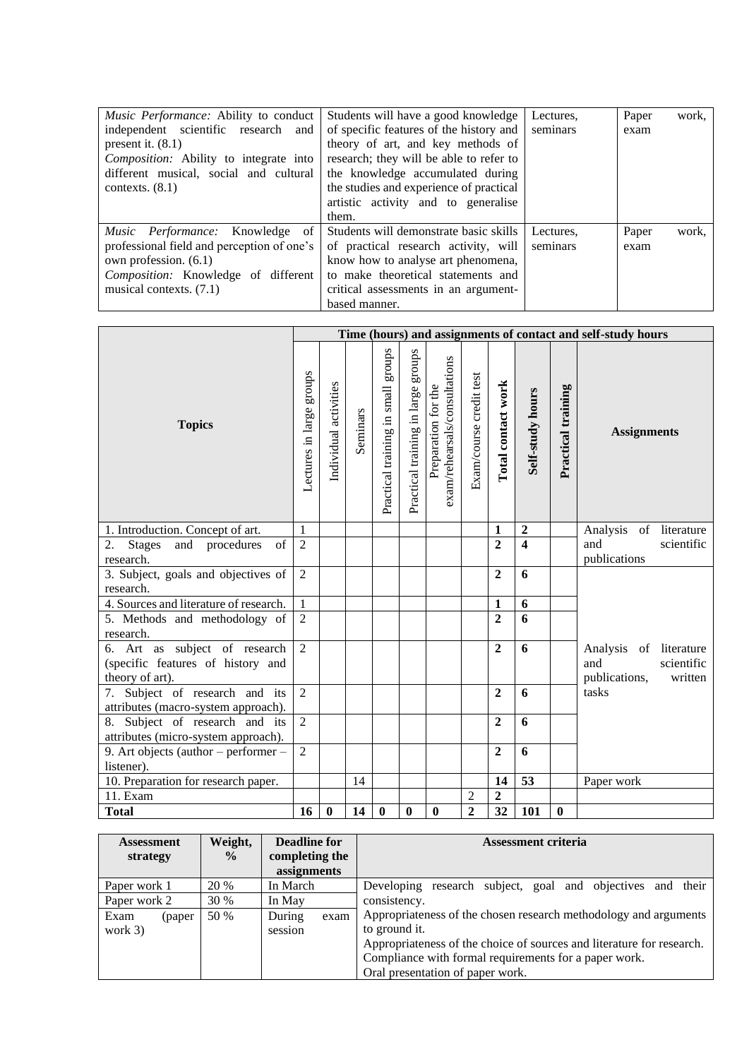| Music Performance: Ability to conduct<br>independent scientific research and<br>present it. $(8.1)$<br>Composition: Ability to integrate into<br>different musical, social and cultural<br>contexts. $(8.1)$ | Students will have a good knowledge<br>of specific features of the history and<br>theory of art, and key methods of<br>research; they will be able to refer to<br>the knowledge accumulated during<br>the studies and experience of practical<br>artistic activity and to generalise<br>them. | Lectures,<br>seminars | Paper<br>exam | work, |
|--------------------------------------------------------------------------------------------------------------------------------------------------------------------------------------------------------------|-----------------------------------------------------------------------------------------------------------------------------------------------------------------------------------------------------------------------------------------------------------------------------------------------|-----------------------|---------------|-------|
| <i>Music Performance:</i> Knowledge of<br>professional field and perception of one's<br>own profession. (6.1)<br><i>Composition:</i> Knowledge of different<br>musical contexts. (7.1)                       | Students will demonstrate basic skills<br>of practical research activity, will<br>know how to analyse art phenomena,<br>to make theoretical statements and<br>critical assessments in an argument-<br>based manner.                                                                           | Lectures.<br>seminars | Paper<br>exam | work, |

|                                                                                       |                          |                       |          |                                       |                                    |                                                      |                         |                    |                         |                    | Time (hours) and assignments of contact and self-study hours            |
|---------------------------------------------------------------------------------------|--------------------------|-----------------------|----------|---------------------------------------|------------------------------------|------------------------------------------------------|-------------------------|--------------------|-------------------------|--------------------|-------------------------------------------------------------------------|
| <b>Topics</b>                                                                         | Lectures in large groups | Individual activities | Seminars | sanona<br>Practical training in small | Practical training in large groups | exam/rehearsals/consultations<br>Preparation for the | Exam/course credit test | Total contact work | <b>Self-study hours</b> | Practical training | <b>Assignments</b>                                                      |
| 1. Introduction. Concept of art.                                                      | $\mathbf{1}$             |                       |          |                                       |                                    |                                                      |                         | $\mathbf{1}$       | $\boldsymbol{2}$        |                    | Analysis of literature                                                  |
| 2.<br><b>Stages</b><br>and procedures<br>of                                           | $\overline{2}$           |                       |          |                                       |                                    |                                                      |                         | $\overline{2}$     | $\overline{\mathbf{4}}$ |                    | scientific<br>and                                                       |
| research.                                                                             |                          |                       |          |                                       |                                    |                                                      |                         |                    |                         |                    | publications                                                            |
| 3. Subject, goals and objectives of<br>research.                                      | $\overline{2}$           |                       |          |                                       |                                    |                                                      |                         | $\overline{2}$     | 6                       |                    |                                                                         |
| 4. Sources and literature of research.                                                | $\mathbf{1}$             |                       |          |                                       |                                    |                                                      |                         | $\mathbf{1}$       | 6                       |                    |                                                                         |
| 5. Methods and methodology of<br>research.                                            | $\overline{2}$           |                       |          |                                       |                                    |                                                      |                         | $\overline{2}$     | 6                       |                    |                                                                         |
| 6. Art as subject of research<br>(specific features of history and<br>theory of art). | $\overline{2}$           |                       |          |                                       |                                    |                                                      |                         | $\overline{2}$     | 6                       |                    | Analysis of literature<br>scientific<br>and<br>publications,<br>written |
| 7. Subject of research and its<br>attributes (macro-system approach).                 | $\overline{2}$           |                       |          |                                       |                                    |                                                      |                         | $\overline{2}$     | 6                       |                    | tasks                                                                   |
| 8. Subject of research and its<br>attributes (micro-system approach).                 | $\overline{2}$           |                       |          |                                       |                                    |                                                      |                         | $\overline{2}$     | 6                       |                    |                                                                         |
| 9. Art objects (author – performer –                                                  | $\overline{2}$           |                       |          |                                       |                                    |                                                      |                         | $\overline{2}$     | 6                       |                    |                                                                         |
| listener).                                                                            |                          |                       |          |                                       |                                    |                                                      |                         |                    |                         |                    |                                                                         |
| 10. Preparation for research paper.                                                   |                          |                       | 14       |                                       |                                    |                                                      |                         | 14                 | 53                      |                    | Paper work                                                              |
| 11. Exam                                                                              |                          |                       |          |                                       |                                    |                                                      | $\overline{2}$          | $\boldsymbol{2}$   |                         |                    |                                                                         |
| <b>Total</b>                                                                          | 16                       | $\boldsymbol{0}$      | 14       | $\bf{0}$                              | $\bf{0}$                           | $\bf{0}$                                             | $\overline{2}$          | 32                 | 101                     | $\boldsymbol{0}$   |                                                                         |

| <b>Assessment</b><br>strategy | Weight,<br>$\frac{6}{9}$ | <b>Deadline for</b><br>completing the<br>assignments | <b>Assessment criteria</b>                                            |  |  |  |
|-------------------------------|--------------------------|------------------------------------------------------|-----------------------------------------------------------------------|--|--|--|
| Paper work 1                  | 20 %                     | In March                                             | research subject, goal and objectives and their<br>Developing         |  |  |  |
| Paper work 2                  | 30 %                     | In May                                               | consistency.                                                          |  |  |  |
| Exam<br>(paper)               | 50 %                     | During<br>exam                                       | Appropriateness of the chosen research methodology and arguments      |  |  |  |
| work 3)                       |                          | session                                              | to ground it.                                                         |  |  |  |
|                               |                          |                                                      | Appropriateness of the choice of sources and literature for research. |  |  |  |
|                               |                          |                                                      | Compliance with formal requirements for a paper work.                 |  |  |  |
|                               |                          |                                                      | Oral presentation of paper work.                                      |  |  |  |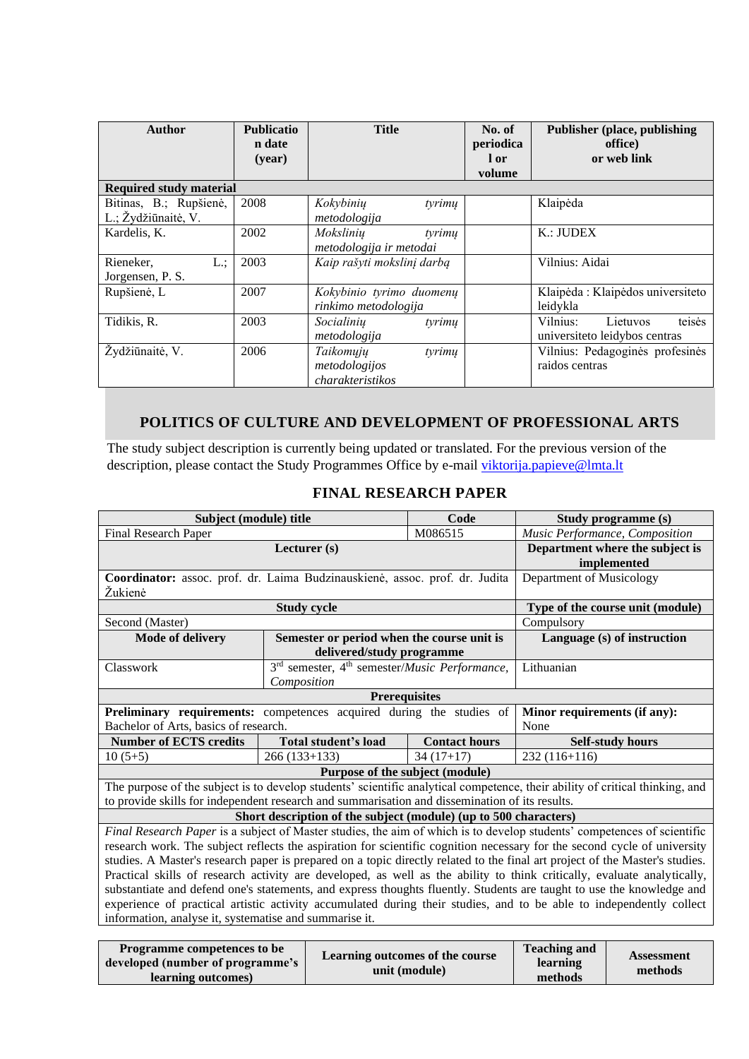| <b>Author</b>                                 | <b>Publicatio</b><br>n date<br>(year) | <b>Title</b>                                             | No. of<br>periodica<br>1 or<br>volume | <b>Publisher (place, publishing)</b><br>office)<br>or web link  |
|-----------------------------------------------|---------------------------------------|----------------------------------------------------------|---------------------------------------|-----------------------------------------------------------------|
| <b>Required study material</b>                |                                       |                                                          |                                       |                                                                 |
| Bitinas, B.; Rupšienė,<br>L.; Žydžiūnaitė, V. | 2008                                  | Kokybinių<br>tyrimu<br>metodologija                      |                                       | Klaipėda                                                        |
| Kardelis, K.                                  | 2002                                  | Mokslinių<br>tyrimų<br>metodologija ir metodai           |                                       | $K$ .: JUDEX                                                    |
| L:<br>Rieneker,<br>Jorgensen, P. S.           | 2003                                  | Kaip rašyti mokslinį darbą                               |                                       | Vilnius: Aidai                                                  |
| Rupšienė, L                                   | 2007                                  | Kokybinio tyrimo duomenų<br>rinkimo metodologija         |                                       | Klaipėda: Klaipėdos universiteto<br>leidykla                    |
| Tidikis, R.                                   | 2003                                  | Socialinių<br>tyrimų<br>metodologija                     |                                       | teisės<br>Vilnius:<br>Lietuvos<br>universiteto leidybos centras |
| Žydžiūnaitė, V.                               | 2006                                  | Taikomųjų<br>tyrimu<br>metodologijos<br>charakteristikos |                                       | Vilnius: Pedagoginės profesinės<br>raidos centras               |

# **POLITICS OF CULTURE AND DEVELOPMENT OF PROFESSIONAL ARTS**

<span id="page-18-0"></span>The study subject description is currently being updated or translated. For the previous version of the description, please contact the Study Programmes Office by e-mail [viktorija.papieve@lmta.lt](mailto:viktorija.papieve@lmta.lt)

<span id="page-18-1"></span>

| Subject (module) title                                                      |                                                                                | Code                                                                                           | Study programme (s)                                                                                                          |  |  |  |  |
|-----------------------------------------------------------------------------|--------------------------------------------------------------------------------|------------------------------------------------------------------------------------------------|------------------------------------------------------------------------------------------------------------------------------|--|--|--|--|
| Final Research Paper                                                        |                                                                                | M086515                                                                                        | Music Performance, Composition                                                                                               |  |  |  |  |
|                                                                             | Lecturer (s)                                                                   |                                                                                                | Department where the subject is                                                                                              |  |  |  |  |
|                                                                             |                                                                                |                                                                                                | implemented                                                                                                                  |  |  |  |  |
| Coordinator: assoc. prof. dr. Laima Budzinauskienė, assoc. prof. dr. Judita | Department of Musicology                                                       |                                                                                                |                                                                                                                              |  |  |  |  |
| Žukienė                                                                     | <b>Study cycle</b>                                                             |                                                                                                |                                                                                                                              |  |  |  |  |
|                                                                             | Type of the course unit (module)                                               |                                                                                                |                                                                                                                              |  |  |  |  |
| Second (Master)                                                             |                                                                                |                                                                                                | Compulsory                                                                                                                   |  |  |  |  |
| <b>Mode of delivery</b>                                                     | Semester or period when the course unit is                                     |                                                                                                | Language (s) of instruction                                                                                                  |  |  |  |  |
|                                                                             | delivered/study programme                                                      |                                                                                                |                                                                                                                              |  |  |  |  |
| Classwork                                                                   | 3 <sup>rd</sup> semester, 4 <sup>th</sup> semester/ <i>Music Performance</i> , |                                                                                                | Lithuanian                                                                                                                   |  |  |  |  |
|                                                                             | Composition                                                                    |                                                                                                |                                                                                                                              |  |  |  |  |
|                                                                             | <b>Prerequisites</b>                                                           |                                                                                                |                                                                                                                              |  |  |  |  |
| Preliminary requirements: competences acquired during the studies of        |                                                                                |                                                                                                | Minor requirements (if any):                                                                                                 |  |  |  |  |
| Bachelor of Arts, basics of research.                                       |                                                                                |                                                                                                | None                                                                                                                         |  |  |  |  |
| <b>Number of ECTS credits</b>                                               | Total student's load                                                           | <b>Contact hours</b>                                                                           | <b>Self-study hours</b>                                                                                                      |  |  |  |  |
| $10(5+5)$                                                                   | $266(133+133)$                                                                 | $34(17+17)$                                                                                    | $232(116+116)$                                                                                                               |  |  |  |  |
|                                                                             | Purpose of the subject (module)                                                |                                                                                                |                                                                                                                              |  |  |  |  |
|                                                                             |                                                                                |                                                                                                | The purpose of the subject is to develop students' scientific analytical competence, their ability of critical thinking, and |  |  |  |  |
|                                                                             |                                                                                | to provide skills for independent research and summarisation and dissemination of its results. |                                                                                                                              |  |  |  |  |
| Short description of the subject (module) (up to 500 characters)            |                                                                                |                                                                                                |                                                                                                                              |  |  |  |  |
|                                                                             |                                                                                |                                                                                                |                                                                                                                              |  |  |  |  |
|                                                                             |                                                                                |                                                                                                | Final Research Paper is a subject of Master studies, the aim of which is to develop students' competences of scientific      |  |  |  |  |
|                                                                             |                                                                                |                                                                                                | research work. The subject reflects the aspiration for scientific cognition necessary for the second cycle of university     |  |  |  |  |
|                                                                             |                                                                                |                                                                                                | studies. A Master's research paper is prepared on a topic directly related to the final art project of the Master's studies. |  |  |  |  |
|                                                                             |                                                                                |                                                                                                | Practical skills of research activity are developed, as well as the ability to think critically, evaluate analytically,      |  |  |  |  |
|                                                                             |                                                                                |                                                                                                | substantiate and defend one's statements, and express thoughts fluently. Students are taught to use the knowledge and        |  |  |  |  |
|                                                                             |                                                                                |                                                                                                | experience of practical artistic activity accumulated during their studies, and to be able to independently collect          |  |  |  |  |
| information, analyse it, systematise and summarise it.                      |                                                                                |                                                                                                |                                                                                                                              |  |  |  |  |

### **FINAL RESEARCH PAPER**

| Programme competences to be<br>developed (number of programme's<br>learning outcomes) | <b>Learning outcomes of the course</b><br>unit (module) | <b>Teaching and</b><br>learning<br>methods | Assessment<br>methods |
|---------------------------------------------------------------------------------------|---------------------------------------------------------|--------------------------------------------|-----------------------|
|---------------------------------------------------------------------------------------|---------------------------------------------------------|--------------------------------------------|-----------------------|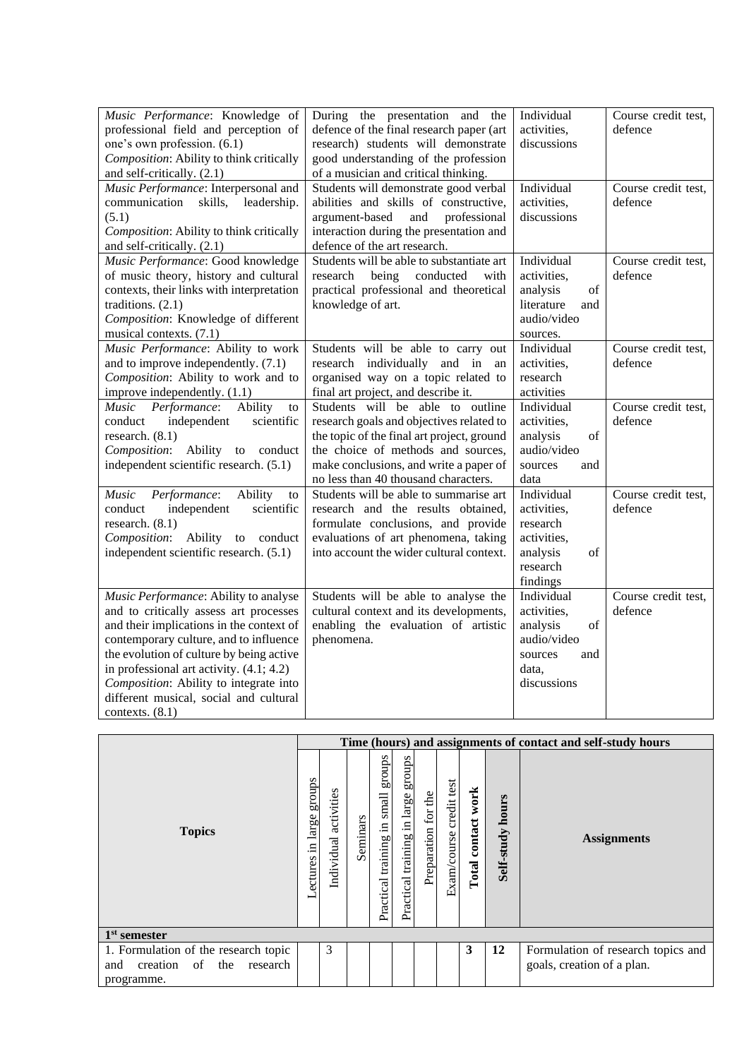| Music Performance: Knowledge of<br>professional field and perception of<br>one's own profession. (6.1)<br>Composition: Ability to think critically<br>and self-critically. (2.1)                                                                                                                                                                                         | During the presentation and the<br>defence of the final research paper (art<br>research) students will demonstrate<br>good understanding of the profession<br>of a musician and critical thinking.                                                 | Individual<br>activities,<br>discussions                                                                                                                                                             | Course credit test,<br>defence |
|--------------------------------------------------------------------------------------------------------------------------------------------------------------------------------------------------------------------------------------------------------------------------------------------------------------------------------------------------------------------------|----------------------------------------------------------------------------------------------------------------------------------------------------------------------------------------------------------------------------------------------------|------------------------------------------------------------------------------------------------------------------------------------------------------------------------------------------------------|--------------------------------|
| Music Performance: Interpersonal and<br>communication<br>skills,<br>leadership.<br>(5.1)<br>Composition: Ability to think critically<br>and self-critically. (2.1)                                                                                                                                                                                                       | Students will demonstrate good verbal<br>abilities and skills of constructive,<br>professional<br>argument-based<br>and<br>interaction during the presentation and<br>defence of the art research.                                                 | Individual<br>activities.<br>discussions                                                                                                                                                             | Course credit test,<br>defence |
| Music Performance: Good knowledge<br>of music theory, history and cultural<br>contexts, their links with interpretation<br>traditions. $(2.1)$<br>Composition: Knowledge of different<br>musical contexts. (7.1)                                                                                                                                                         | Students will be able to substantiate art<br>research<br>being<br>conducted<br>with<br>practical professional and theoretical<br>knowledge of art.                                                                                                 | Individual<br>activities,<br>analysis<br>of<br>literature<br>and<br>audio/video<br>sources.                                                                                                          | Course credit test,<br>defence |
| Music Performance: Ability to work<br>and to improve independently. (7.1)<br>Composition: Ability to work and to<br>improve independently. (1.1)                                                                                                                                                                                                                         | Students will be able to carry out<br>research individually<br>and in<br>an<br>organised way on a topic related to<br>final art project, and describe it.                                                                                          | Individual<br>activities,<br>research<br>activities                                                                                                                                                  | Course credit test,<br>defence |
| Music Performance:<br>Ability<br>to<br>scientific<br>conduct<br>independent<br>research. $(8.1)$<br>Composition: Ability to conduct<br>independent scientific research. (5.1)                                                                                                                                                                                            | Students will be able to outline<br>research goals and objectives related to<br>the topic of the final art project, ground<br>the choice of methods and sources,<br>make conclusions, and write a paper of<br>no less than 40 thousand characters. | Individual<br>activities,<br>analysis<br>of<br>audio/video<br>sources<br>and<br>data                                                                                                                 | Course credit test,<br>defence |
| Music<br>Performance:<br>Ability<br>to<br>independent<br>scientific<br>conduct<br>research. $(8.1)$<br>Composition:<br>Ability<br>to conduct<br>independent scientific research. (5.1)                                                                                                                                                                                   | Students will be able to summarise art<br>research and the results obtained,<br>formulate conclusions, and provide<br>evaluations of art phenomena, taking<br>into account the wider cultural context.                                             | Individual<br>activities,<br>research<br>activities,<br>analysis<br>of<br>research<br>findings                                                                                                       | Course credit test,<br>defence |
| Music Performance: Ability to analyse<br>and to critically assess art processes<br>and their implications in the context of<br>contemporary culture, and to influence<br>the evolution of culture by being active<br>in professional art activity. $(4.1; 4.2)$<br>Composition: Ability to integrate into<br>different musical, social and cultural<br>contexts. $(8.1)$ | Students will be able to analyse the<br>cultural context and its developments,<br>enabling the evaluation of artistic<br>phenomena.                                                                                                                | Individual<br>activities,<br>$% \left( \left( \mathcal{A},\mathcal{A}\right) \right) =\left( \mathcal{A},\mathcal{A}\right)$ of<br>analysis<br>audio/video<br>sources<br>and<br>data,<br>discussions | Course credit test,<br>defence |

|                                          | Time (hours) and assignments of contact and self-study hours |                          |          |                                                |                                       |                     |                            |                          |                     |                                    |
|------------------------------------------|--------------------------------------------------------------|--------------------------|----------|------------------------------------------------|---------------------------------------|---------------------|----------------------------|--------------------------|---------------------|------------------------------------|
| <b>Topics</b>                            | schong<br>large<br>$\Xi$<br>Lectures                         | activities<br>Individual | Seminars | groups<br>small<br>묘.<br>training<br>Practical | groups<br>Practical training in large | Preparation for the | credit test<br>Exam/course | work<br>contact<br>Total | hours<br>Self-study | <b>Assignments</b>                 |
| $1st$ semester                           |                                                              |                          |          |                                                |                                       |                     |                            |                          |                     |                                    |
| 1. Formulation of the research topic     |                                                              | 3                        |          |                                                |                                       |                     |                            | 3                        | 12                  | Formulation of research topics and |
| of<br>the<br>creation<br>and<br>research |                                                              |                          |          |                                                |                                       |                     |                            |                          |                     | goals, creation of a plan.         |
| programme.                               |                                                              |                          |          |                                                |                                       |                     |                            |                          |                     |                                    |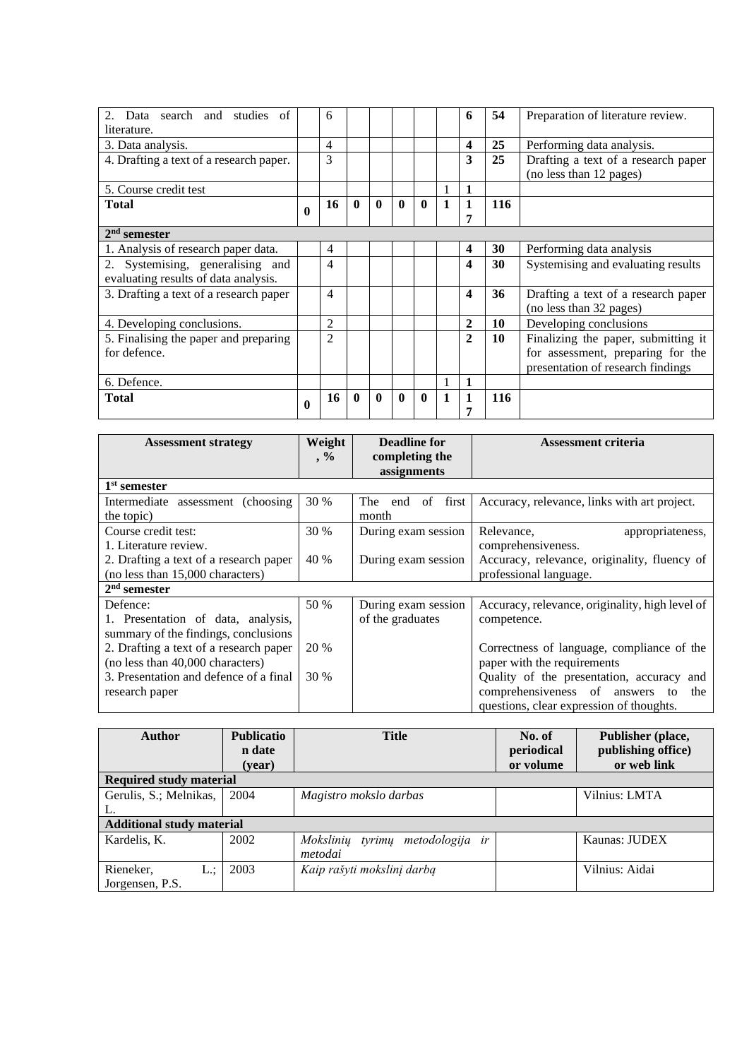| 2. Data search and studies of<br>literature. |              | 6  |              |              |              |              |   | 6                       | 54  | Preparation of literature review.                              |
|----------------------------------------------|--------------|----|--------------|--------------|--------------|--------------|---|-------------------------|-----|----------------------------------------------------------------|
| 3. Data analysis.                            |              | 4  |              |              |              |              |   | 4                       | 25  | Performing data analysis.                                      |
| 4. Drafting a text of a research paper.      |              | 3  |              |              |              |              |   | 3                       | 25  | Drafting a text of a research paper<br>(no less than 12 pages) |
| 5. Course credit test                        |              |    |              |              |              |              | 1 | 1                       |     |                                                                |
| <b>Total</b>                                 | $\mathbf{0}$ | 16 | $\mathbf{0}$ | $\mathbf{0}$ | $\mathbf{0}$ | $\mathbf{0}$ | 1 |                         | 116 |                                                                |
|                                              |              |    |              |              |              |              |   |                         |     |                                                                |
| $2nd$ semester                               |              |    |              |              |              |              |   |                         |     |                                                                |
| 1. Analysis of research paper data.          |              | 4  |              |              |              |              |   | $\overline{\mathbf{4}}$ | 30  | Performing data analysis                                       |
| 2. Systemising, generalising and             |              | 4  |              |              |              |              |   | 4                       | 30  | Systemising and evaluating results                             |
| evaluating results of data analysis.         |              |    |              |              |              |              |   |                         |     |                                                                |
| 3. Drafting a text of a research paper       |              | 4  |              |              |              |              |   | 4                       | 36  | Drafting a text of a research paper<br>(no less than 32 pages) |
| 4. Developing conclusions.                   |              | 2  |              |              |              |              |   | $\overline{2}$          | 10  | Developing conclusions                                         |
| 5. Finalising the paper and preparing        |              | 2  |              |              |              |              |   | $\mathbf{2}$            | 10  | Finalizing the paper, submitting it                            |
| for defence.                                 |              |    |              |              |              |              |   |                         |     | for assessment, preparing for the                              |
|                                              |              |    |              |              |              |              |   |                         |     | presentation of research findings                              |
| 6. Defence.                                  |              |    |              |              |              |              | 1 | $\mathbf{1}$            |     |                                                                |
| Total                                        | $\mathbf{0}$ | 16 | 0            | $\mathbf{0}$ | $\mathbf{0}$ | $\mathbf{0}$ | 1 | 1                       | 116 |                                                                |

| <b>Assessment strategy</b>             | Weight                      | <b>Deadline for</b> | <b>Assessment criteria</b>                      |  |
|----------------------------------------|-----------------------------|---------------------|-------------------------------------------------|--|
|                                        | $, \%$                      | completing the      |                                                 |  |
|                                        |                             | assignments         |                                                 |  |
| $1st$ semester                         |                             |                     |                                                 |  |
| Intermediate assessment (choosing)     | 30 %                        | of first<br>The end | Accuracy, relevance, links with art project.    |  |
| the topic)                             |                             | month               |                                                 |  |
| Course credit test:                    | 30 %                        | During exam session | Relevance,<br>appropriateness,                  |  |
| 1. Literature review.                  |                             |                     | comprehensiveness.                              |  |
| 2. Drafting a text of a research paper | 40 %<br>During exam session |                     | Accuracy, relevance, originality, fluency of    |  |
| (no less than 15,000 characters)       |                             |                     | professional language.                          |  |
| $2nd$ semester                         |                             |                     |                                                 |  |
| Defence:                               | 50 %                        | During exam session | Accuracy, relevance, originality, high level of |  |
| 1. Presentation of data, analysis,     |                             | of the graduates    | competence.                                     |  |
| summary of the findings, conclusions   |                             |                     |                                                 |  |
| 2. Drafting a text of a research paper | 20 %                        |                     | Correctness of language, compliance of the      |  |
| (no less than 40,000 characters)       |                             |                     | paper with the requirements                     |  |
| 3. Presentation and defence of a final | 30 %                        |                     | Quality of the presentation, accuracy and       |  |
| research paper                         |                             |                     | comprehensiveness of answers<br>the<br>to       |  |
|                                        |                             |                     | questions, clear expression of thoughts.        |  |

| <b>Author</b>                    | <b>Publicatio</b><br>n date<br>(year) | <b>Title</b>                        | No. of<br>periodical<br>or volume | Publisher (place,<br>publishing office)<br>or web link |
|----------------------------------|---------------------------------------|-------------------------------------|-----------------------------------|--------------------------------------------------------|
| <b>Required study material</b>   |                                       |                                     |                                   |                                                        |
| Gerulis, S.; Melnikas,           | 2004                                  | Magistro mokslo darbas              |                                   | Vilnius: LMTA                                          |
|                                  |                                       |                                     |                                   |                                                        |
| <b>Additional study material</b> |                                       |                                     |                                   |                                                        |
| Kardelis, K.                     | 2002                                  | tyrimų metodologija ir<br>Moksliniu |                                   | Kaunas: JUDEX                                          |
|                                  |                                       | metodai                             |                                   |                                                        |
| Rieneker,<br>L.:                 | 2003                                  | Kaip rašyti mokslinį darbą          |                                   | Vilnius: Aidai                                         |
| Jorgensen, P.S.                  |                                       |                                     |                                   |                                                        |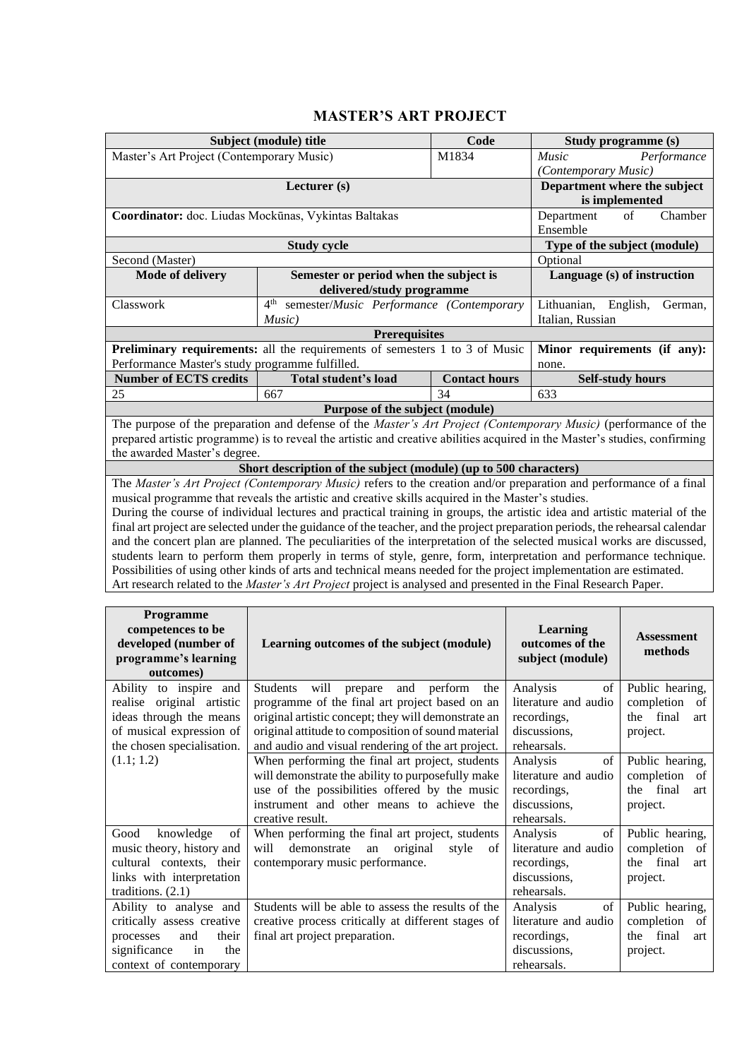### **MASTER'S ART PROJECT**

<span id="page-21-0"></span>

|                                                                                                                            | Subject (module) title                                                                                                 | Code                       | Study programme (s)                                                                                                           |  |  |  |
|----------------------------------------------------------------------------------------------------------------------------|------------------------------------------------------------------------------------------------------------------------|----------------------------|-------------------------------------------------------------------------------------------------------------------------------|--|--|--|
| Master's Art Project (Contemporary Music)                                                                                  |                                                                                                                        | M1834                      | Music<br>Performance                                                                                                          |  |  |  |
|                                                                                                                            |                                                                                                                        |                            | (Contemporary Music)                                                                                                          |  |  |  |
|                                                                                                                            | Lecturer (s)                                                                                                           |                            | Department where the subject                                                                                                  |  |  |  |
|                                                                                                                            | is implemented                                                                                                         |                            |                                                                                                                               |  |  |  |
| Coordinator: doc. Liudas Mockūnas, Vykintas Baltakas                                                                       | $\sigma$ f<br>Department<br>Chamber                                                                                    |                            |                                                                                                                               |  |  |  |
|                                                                                                                            | Ensemble                                                                                                               |                            |                                                                                                                               |  |  |  |
|                                                                                                                            | <b>Study cycle</b>                                                                                                     |                            | Type of the subject (module)                                                                                                  |  |  |  |
| Second (Master)                                                                                                            |                                                                                                                        |                            | Optional                                                                                                                      |  |  |  |
| <b>Mode of delivery</b>                                                                                                    | Semester or period when the subject is                                                                                 |                            | Language (s) of instruction                                                                                                   |  |  |  |
|                                                                                                                            | delivered/study programme                                                                                              |                            |                                                                                                                               |  |  |  |
| Classwork                                                                                                                  | 4 <sup>th</sup><br>semester/Music Performance (Contemporary                                                            |                            | Lithuanian, English,<br>German,                                                                                               |  |  |  |
|                                                                                                                            | Music)                                                                                                                 |                            | Italian, Russian                                                                                                              |  |  |  |
| <b>Prerequisites</b><br>Preliminary requirements: all the requirements of semesters 1 to 3 of Music                        |                                                                                                                        |                            |                                                                                                                               |  |  |  |
|                                                                                                                            |                                                                                                                        |                            | Minor requirements (if any):                                                                                                  |  |  |  |
| Performance Master's study programme fulfilled.                                                                            |                                                                                                                        |                            | none.                                                                                                                         |  |  |  |
| <b>Number of ECTS credits</b>                                                                                              | Total student's load                                                                                                   | <b>Contact hours</b><br>34 | <b>Self-study hours</b>                                                                                                       |  |  |  |
| 25                                                                                                                         | 667                                                                                                                    |                            | 633                                                                                                                           |  |  |  |
|                                                                                                                            | Purpose of the subject (module)                                                                                        |                            |                                                                                                                               |  |  |  |
| The purpose of the preparation and defense of the Master's Art Project (Contemporary Music) (performance of the            |                                                                                                                        |                            |                                                                                                                               |  |  |  |
| prepared artistic programme) is to reveal the artistic and creative abilities acquired in the Master's studies, confirming |                                                                                                                        |                            |                                                                                                                               |  |  |  |
|                                                                                                                            |                                                                                                                        |                            |                                                                                                                               |  |  |  |
| the awarded Master's degree.                                                                                               |                                                                                                                        |                            |                                                                                                                               |  |  |  |
|                                                                                                                            | Short description of the subject (module) (up to 500 characters)                                                       |                            |                                                                                                                               |  |  |  |
|                                                                                                                            |                                                                                                                        |                            | The Master's Art Project (Contemporary Music) refers to the creation and/or preparation and performance of a final            |  |  |  |
|                                                                                                                            | musical programme that reveals the artistic and creative skills acquired in the Master's studies.                      |                            |                                                                                                                               |  |  |  |
|                                                                                                                            |                                                                                                                        |                            | During the course of individual lectures and practical training in groups, the artistic idea and artistic material of the     |  |  |  |
|                                                                                                                            |                                                                                                                        |                            | final art project are selected under the guidance of the teacher, and the project preparation periods, the rehearsal calendar |  |  |  |
|                                                                                                                            |                                                                                                                        |                            | and the concert plan are planned. The peculiarities of the interpretation of the selected musical works are discussed,        |  |  |  |
|                                                                                                                            | Possibilities of using other kinds of arts and technical means needed for the project implementation are estimated.    |                            | students learn to perform them properly in terms of style, genre, form, interpretation and performance technique.             |  |  |  |
|                                                                                                                            | Art research related to the <i>Master's Art Project</i> project is analysed and presented in the Final Research Paper. |                            |                                                                                                                               |  |  |  |

| <b>Programme</b><br>competences to be<br>developed (number of<br>programme's learning<br>outcomes)                                        | Learning outcomes of the subject (module)                                                                                                                                                                                                                                        | <b>Learning</b><br>outcomes of the<br>subject (module)                               | <b>Assessment</b><br>methods                                             |
|-------------------------------------------------------------------------------------------------------------------------------------------|----------------------------------------------------------------------------------------------------------------------------------------------------------------------------------------------------------------------------------------------------------------------------------|--------------------------------------------------------------------------------------|--------------------------------------------------------------------------|
| Ability to inspire and<br>realise original artistic<br>ideas through the means<br>of musical expression of<br>the chosen specialisation.  | will<br><b>Students</b><br>and<br>perform<br>the<br>prepare<br>programme of the final art project based on an<br>original artistic concept; they will demonstrate an<br>original attitude to composition of sound material<br>and audio and visual rendering of the art project. | Analysis<br>of<br>literature and audio<br>recordings,<br>discussions,<br>rehearsals. | Public hearing,<br>completion<br>of<br>the final<br>art<br>project.      |
| (1.1; 1.2)                                                                                                                                | When performing the final art project, students<br>will demonstrate the ability to purposefully make<br>use of the possibilities offered by the music<br>instrument and other means to achieve the<br>creative result.                                                           | Analysis<br>of<br>literature and audio<br>recordings,<br>discussions,<br>rehearsals. | Public hearing,<br>completion<br>- of<br>the final<br>art<br>project.    |
| Good<br>knowledge<br>of<br>music theory, history and<br>cultural contexts, their<br>links with interpretation<br>traditions. $(2.1)$      | When performing the final art project, students<br>demonstrate<br>original<br>will<br>an<br>style<br>of<br>contemporary music performance.                                                                                                                                       | Analysis<br>of<br>literature and audio<br>recordings,<br>discussions,<br>rehearsals. | Public hearing,<br>completion<br>- of<br>final<br>the<br>art<br>project. |
| Ability to analyse and<br>critically assess creative<br>processes<br>and<br>their<br>significance<br>the<br>in<br>context of contemporary | Students will be able to assess the results of the<br>creative process critically at different stages of<br>final art project preparation.                                                                                                                                       | Analysis<br>of<br>literature and audio<br>recordings,<br>discussions,<br>rehearsals. | Public hearing,<br>completion<br>- of<br>final<br>the<br>art<br>project. |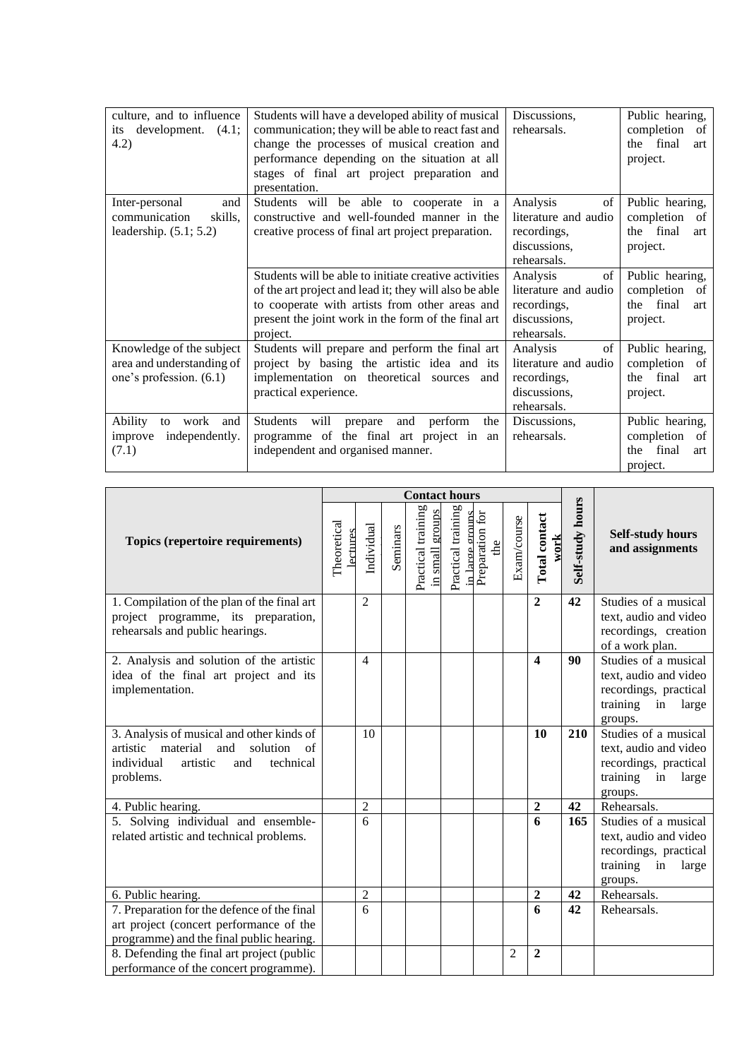| culture, and to influence<br>its development.<br>(4.1)<br>4.2)                   | Students will have a developed ability of musical<br>communication; they will be able to react fast and<br>change the processes of musical creation and<br>performance depending on the situation at all<br>stages of final art project preparation and<br>presentation. | Discussions,<br>rehearsals.                                                          | Public hearing,<br>completion<br>- of<br>final<br>the<br>art<br>project. |
|----------------------------------------------------------------------------------|--------------------------------------------------------------------------------------------------------------------------------------------------------------------------------------------------------------------------------------------------------------------------|--------------------------------------------------------------------------------------|--------------------------------------------------------------------------|
| Inter-personal<br>and<br>skills,<br>communication<br>leadership. $(5.1; 5.2)$    | Students will be able to cooperate in a<br>constructive and well-founded manner in the<br>creative process of final art project preparation.                                                                                                                             | of<br>Analysis<br>literature and audio<br>recordings,<br>discussions,<br>rehearsals. | Public hearing,<br>completion<br>-of<br>the final<br>art<br>project.     |
|                                                                                  | Students will be able to initiate creative activities<br>of the art project and lead it; they will also be able<br>to cooperate with artists from other areas and<br>present the joint work in the form of the final art<br>project.                                     | of<br>Analysis<br>literature and audio<br>recordings,<br>discussions,<br>rehearsals. | Public hearing,<br>completion<br>- of<br>final<br>the<br>art<br>project. |
| Knowledge of the subject<br>area and understanding of<br>one's profession. (6.1) | Students will prepare and perform the final art<br>project by basing the artistic idea and its<br>implementation on theoretical sources<br>and<br>practical experience.                                                                                                  | of<br>Analysis<br>literature and audio<br>recordings,<br>discussions,<br>rehearsals. | Public hearing,<br>completion<br>of<br>the final<br>art<br>project.      |
| Ability<br>work<br>to<br>and<br>independently.<br>improve<br>(7.1)               | Students will<br>and<br>perform<br>prepare<br>the<br>programme of the final art project in an<br>independent and organised manner.                                                                                                                                       | Discussions,<br>rehearsals.                                                          | Public hearing,<br>completion<br>of<br>final<br>the<br>art<br>project.   |

|                                                                                 | <b>Contact hours</b>   |                     |          |                                          |                                      |                        |             |                         |                  |                                            |
|---------------------------------------------------------------------------------|------------------------|---------------------|----------|------------------------------------------|--------------------------------------|------------------------|-------------|-------------------------|------------------|--------------------------------------------|
| Topics (repertoire requirements)                                                | Theoretical<br>ectures | Individual          | Seminars | Practical training<br>groups<br>in small | Practical training<br>in large groun | Preparation for<br>the | Exam/course | Total contact<br>work   | Self-study hours | <b>Self-study hours</b><br>and assignments |
| 1. Compilation of the plan of the final art                                     |                        | $\overline{2}$      |          |                                          |                                      |                        |             | $\overline{2}$          | 42               | Studies of a musical                       |
| project programme, its preparation,                                             |                        |                     |          |                                          |                                      |                        |             |                         |                  | text, audio and video                      |
| rehearsals and public hearings.                                                 |                        |                     |          |                                          |                                      |                        |             |                         |                  | recordings, creation                       |
| 2. Analysis and solution of the artistic                                        |                        | 4                   |          |                                          |                                      |                        |             | $\overline{\mathbf{4}}$ | 90               | of a work plan.<br>Studies of a musical    |
| idea of the final art project and its                                           |                        |                     |          |                                          |                                      |                        |             |                         |                  | text, audio and video                      |
| implementation.                                                                 |                        |                     |          |                                          |                                      |                        |             |                         |                  | recordings, practical                      |
|                                                                                 |                        |                     |          |                                          |                                      |                        |             |                         |                  | training<br>in<br>large                    |
|                                                                                 |                        |                     |          |                                          |                                      |                        |             |                         |                  | groups.                                    |
| 3. Analysis of musical and other kinds of                                       |                        | 10                  |          |                                          |                                      |                        |             | <b>10</b>               | 210              | Studies of a musical                       |
| material<br>artistic<br>and<br>solution<br>of                                   |                        |                     |          |                                          |                                      |                        |             |                         |                  | text, audio and video                      |
| individual<br>artistic<br>and<br>technical                                      |                        |                     |          |                                          |                                      |                        |             |                         |                  | recordings, practical                      |
| problems.                                                                       |                        |                     |          |                                          |                                      |                        |             |                         |                  | training<br>in<br>large                    |
|                                                                                 |                        |                     |          |                                          |                                      |                        |             |                         |                  | groups.                                    |
| 4. Public hearing.                                                              |                        | $\mathfrak{D}$<br>6 |          |                                          |                                      |                        |             | $\overline{2}$<br>6     | 42<br>165        | Rehearsals.<br>Studies of a musical        |
| 5. Solving individual and ensemble-<br>related artistic and technical problems. |                        |                     |          |                                          |                                      |                        |             |                         |                  | text, audio and video                      |
|                                                                                 |                        |                     |          |                                          |                                      |                        |             |                         |                  | recordings, practical                      |
|                                                                                 |                        |                     |          |                                          |                                      |                        |             |                         |                  | training<br>in<br>large                    |
|                                                                                 |                        |                     |          |                                          |                                      |                        |             |                         |                  | groups.                                    |
| 6. Public hearing.                                                              |                        | $\overline{2}$      |          |                                          |                                      |                        |             | $\mathbf{2}$            | 42               | Rehearsals.                                |
| 7. Preparation for the defence of the final                                     |                        | 6                   |          |                                          |                                      |                        |             | 6                       | 42               | Rehearsals.                                |
| art project (concert performance of the                                         |                        |                     |          |                                          |                                      |                        |             |                         |                  |                                            |
| programme) and the final public hearing.                                        |                        |                     |          |                                          |                                      |                        |             |                         |                  |                                            |
| 8. Defending the final art project (public                                      |                        |                     |          |                                          |                                      |                        | 2           | $\overline{2}$          |                  |                                            |
| performance of the concert programme).                                          |                        |                     |          |                                          |                                      |                        |             |                         |                  |                                            |